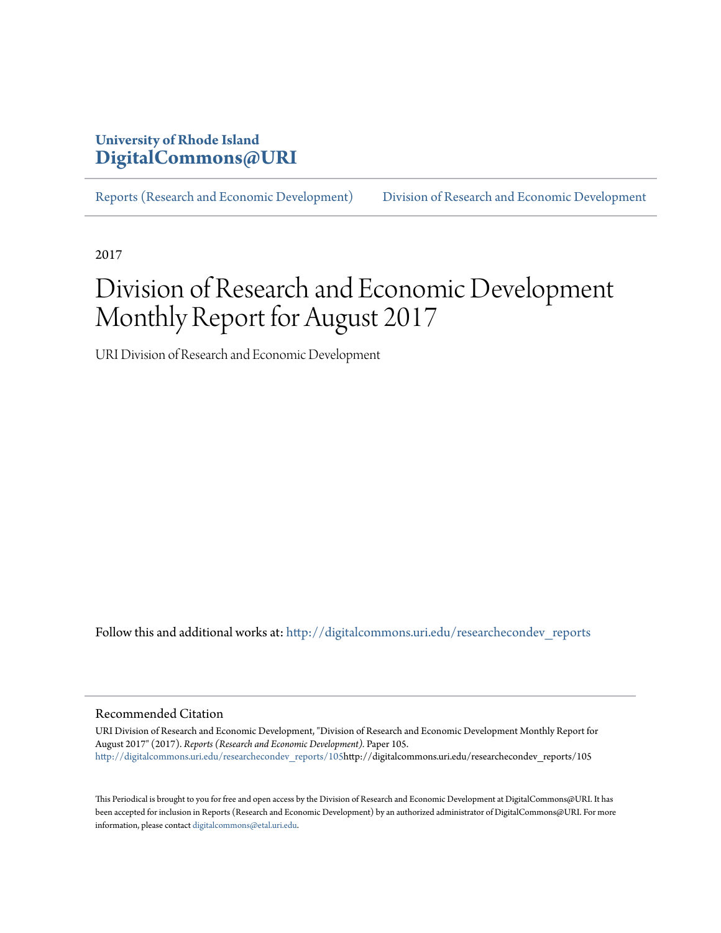### **University of Rhode Island [DigitalCommons@URI](http://digitalcommons.uri.edu?utm_source=digitalcommons.uri.edu%2Fresearchecondev_reports%2F105&utm_medium=PDF&utm_campaign=PDFCoverPages)**

[Reports \(Research and Economic Development\)](http://digitalcommons.uri.edu/researchecondev_reports?utm_source=digitalcommons.uri.edu%2Fresearchecondev_reports%2F105&utm_medium=PDF&utm_campaign=PDFCoverPages) [Division of Research and Economic Development](http://digitalcommons.uri.edu/researchecondev?utm_source=digitalcommons.uri.edu%2Fresearchecondev_reports%2F105&utm_medium=PDF&utm_campaign=PDFCoverPages)

2017

# Division of Research and Economic Development Monthly Report for August 2017

URI Division of Research and Economic Development

Follow this and additional works at: [http://digitalcommons.uri.edu/researchecondev\\_reports](http://digitalcommons.uri.edu/researchecondev_reports?utm_source=digitalcommons.uri.edu%2Fresearchecondev_reports%2F105&utm_medium=PDF&utm_campaign=PDFCoverPages)

#### Recommended Citation

URI Division of Research and Economic Development, "Division of Research and Economic Development Monthly Report for August 2017" (2017). *Reports (Research and Economic Development).* Paper 105. [http://digitalcommons.uri.edu/researchecondev\\_reports/105h](http://digitalcommons.uri.edu/researchecondev_reports/105?utm_source=digitalcommons.uri.edu%2Fresearchecondev_reports%2F105&utm_medium=PDF&utm_campaign=PDFCoverPages)ttp://digitalcommons.uri.edu/researchecondev\_reports/105

This Periodical is brought to you for free and open access by the Division of Research and Economic Development at DigitalCommons@URI. It has been accepted for inclusion in Reports (Research and Economic Development) by an authorized administrator of DigitalCommons@URI. For more information, please contact [digitalcommons@etal.uri.edu](mailto:digitalcommons@etal.uri.edu).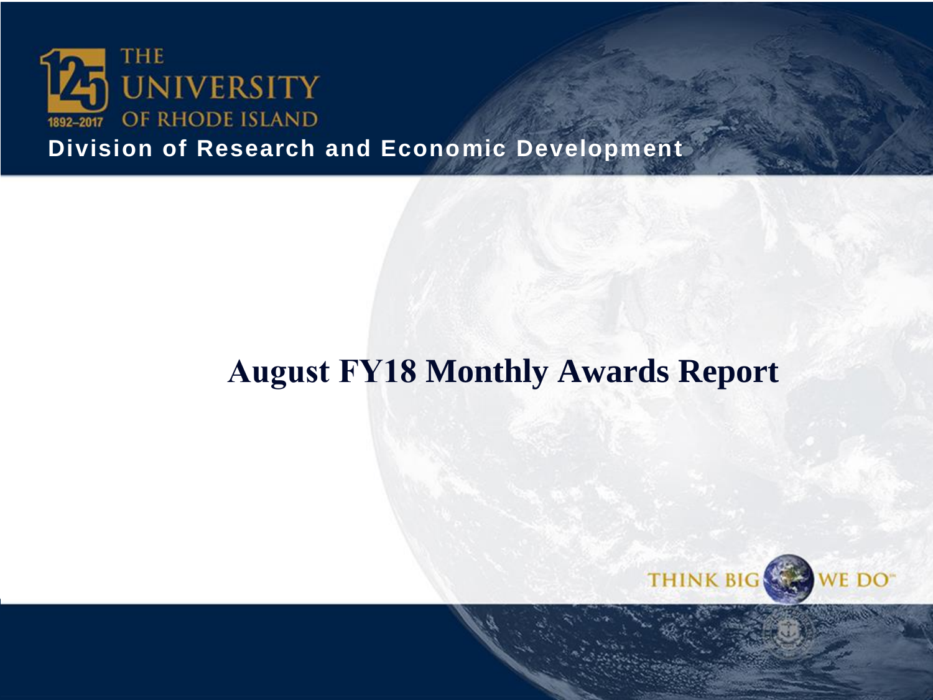

**Division of Research and Economic Development**

# **August FY18 Monthly Awards Report**

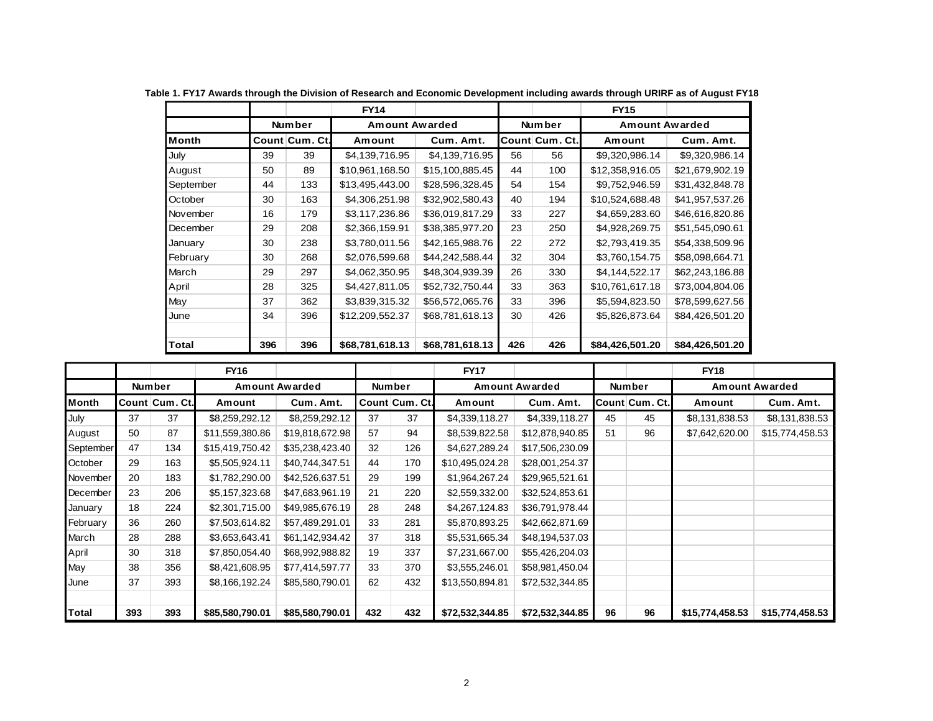|              |     |                | <b>FY14</b>     |                 |     |                | <b>FY15</b>           |                 |
|--------------|-----|----------------|-----------------|-----------------|-----|----------------|-----------------------|-----------------|
|              |     | <b>Number</b>  | Amount Awarded  |                 |     | Number         | <b>Amount Awarded</b> |                 |
| <b>Month</b> |     | Count Cum. Ct. | Amount          | Cum. Amt.       |     | Count Cum. Ct. | Amount                | Cum. Amt.       |
| July         | 39  | 39             | \$4,139,716.95  | \$4,139,716.95  | 56  | 56             | \$9,320,986.14        | \$9,320,986.14  |
| August       | 50  | 89             | \$10,961,168.50 | \$15,100,885.45 | 44  | 100            | \$12,358,916.05       | \$21,679,902.19 |
| September    | 44  | 133            | \$13,495,443.00 | \$28,596,328.45 | 54  | 154            | \$9,752,946.59        | \$31,432,848.78 |
| October      | 30  | 163            | \$4,306,251.98  | \$32,902,580.43 | 40  | 194            | \$10,524,688.48       | \$41,957,537.26 |
| November     | 16  | 179            | \$3,117,236.86  | \$36,019,817.29 | 33  | 227            | \$4,659,283.60        | \$46,616,820.86 |
| December     | 29  | 208            | \$2,366,159.91  | \$38,385,977.20 | 23  | 250            | \$4,928,269.75        | \$51,545,090.61 |
| January      | 30  | 238            | \$3,780,011.56  | \$42,165,988.76 | 22  | 272            | \$2,793,419.35        | \$54,338,509.96 |
| February     | 30  | 268            | \$2,076,599.68  | \$44,242,588.44 | 32  | 304            | \$3,760,154.75        | \$58,098,664.71 |
| March        | 29  | 297            | \$4,062,350.95  | \$48,304,939.39 | 26  | 330            | \$4,144,522.17        | \$62,243,186.88 |
| April        | 28  | 325            | \$4,427,811.05  | \$52,732,750.44 | 33  | 363            | \$10,761,617.18       | \$73,004,804.06 |
| May          | 37  | 362            | \$3,839,315.32  | \$56,572,065.76 | 33  | 396            | \$5,594,823.50        | \$78,599,627.56 |
| June         | 34  | 396            | \$12,209,552.37 | \$68,781,618.13 | 30  | 426            | \$5,826,873.64        | \$84,426,501.20 |
| Total        | 396 | 396            | \$68,781,618.13 | \$68,781,618.13 | 426 | 426            | \$84,426,501.20       | \$84,426,501.20 |

**Table 1. FY17 Awards through the Division of Research and Economic Development including awards through URIRF as of August FY18**

|           |     |                | <b>FY16</b>     |                       |               |                | <b>FY17</b>     |                 |    |                       | <b>FY18</b>     |                 |  |                       |
|-----------|-----|----------------|-----------------|-----------------------|---------------|----------------|-----------------|-----------------|----|-----------------------|-----------------|-----------------|--|-----------------------|
|           |     | <b>Number</b>  |                 | <b>Amount Awarded</b> | <b>Number</b> |                |                 |                 |    | <b>Amount Awarded</b> |                 | <b>Number</b>   |  | <b>Amount Awarded</b> |
| Month     |     | Count Cum. Ct. | Amount          | Cum. Amt.             |               | Count Cum. Ct. | Amount          | Cum. Amt.       |    | Count Cum. Ct.        | Amount          | Cum. Amt.       |  |                       |
| July      | 37  | 37             | \$8,259,292.12  | \$8,259,292.12        | 37            | 37             | \$4,339,118.27  | \$4,339,118.27  | 45 | 45                    | \$8,131,838.53  | \$8,131,838.53  |  |                       |
| August    | 50  | 87             | \$11,559,380.86 | \$19,818,672.98       | 57            | 94             | \$8,539,822.58  | \$12,878,940.85 | 51 | 96                    | \$7,642,620.00  | \$15,774,458.53 |  |                       |
| September | 47  | 134            | \$15,419,750.42 | \$35,238,423.40       | 32            | 126            | \$4,627,289.24  | \$17,506,230.09 |    |                       |                 |                 |  |                       |
| October   | 29  | 163            | \$5,505,924.11  | \$40,744,347.51       | 44            | 170            | \$10,495,024.28 | \$28,001,254.37 |    |                       |                 |                 |  |                       |
| November  | 20  | 183            | \$1,782,290.00  | \$42,526,637.51       | 29            | 199            | \$1,964,267.24  | \$29,965,521.61 |    |                       |                 |                 |  |                       |
| December  | 23  | 206            | \$5,157,323.68  | \$47,683,961.19       | 21            | 220            | \$2,559,332.00  | \$32,524,853.61 |    |                       |                 |                 |  |                       |
| January   | 18  | 224            | \$2,301,715.00  | \$49,985,676.19       | 28            | 248            | \$4,267,124.83  | \$36,791,978.44 |    |                       |                 |                 |  |                       |
| February  | 36  | 260            | \$7,503,614.82  | \$57,489,291.01       | 33            | 281            | \$5,870,893.25  | \$42,662,871.69 |    |                       |                 |                 |  |                       |
| March     | 28  | 288            | \$3,653,643.41  | \$61,142,934.42       | 37            | 318            | \$5,531,665.34  | \$48,194,537.03 |    |                       |                 |                 |  |                       |
| April     | 30  | 318            | \$7,850,054.40  | \$68,992,988.82       | 19            | 337            | \$7,231,667.00  | \$55,426,204.03 |    |                       |                 |                 |  |                       |
| May       | 38  | 356            | \$8,421,608.95  | \$77,414,597.77       | 33            | 370            | \$3,555,246.01  | \$58,981,450.04 |    |                       |                 |                 |  |                       |
| June      | 37  | 393            | \$8,166,192.24  | \$85,580,790.01       | 62            | 432            | \$13,550,894.81 | \$72,532,344.85 |    |                       |                 |                 |  |                       |
|           |     |                |                 |                       |               |                |                 |                 |    |                       |                 |                 |  |                       |
| Total     | 393 | 393            | \$85,580,790.01 | \$85,580,790.01       | 432           | 432            | \$72,532,344.85 | \$72,532,344.85 | 96 | 96                    | \$15,774,458.53 | \$15,774,458.53 |  |                       |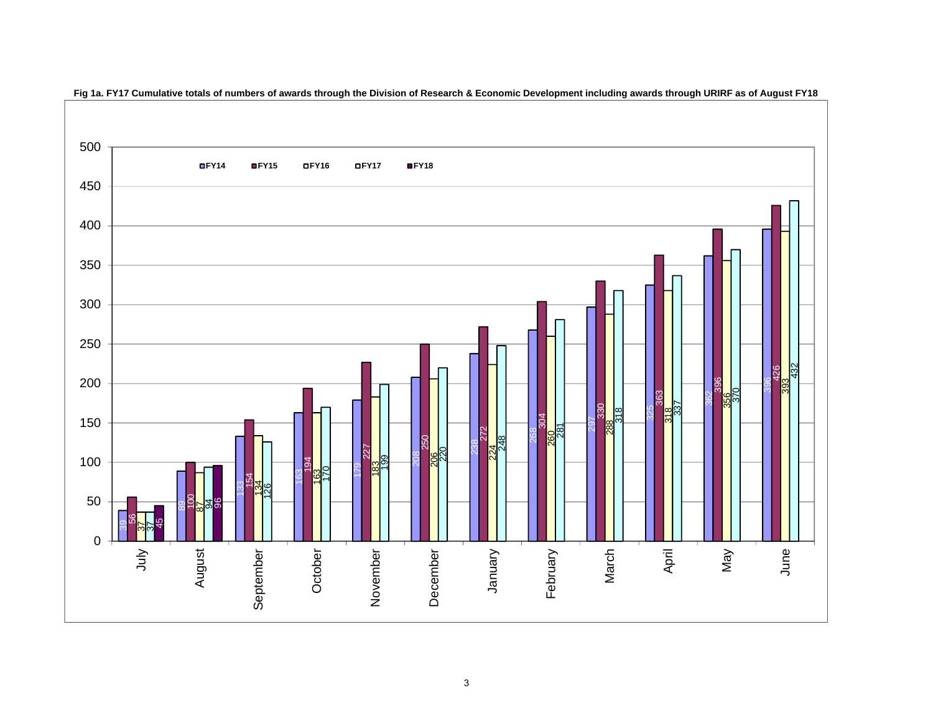

 **Fig 1a. FY17 Cumulative totals of numbers of awards through the Division of Research & Economic Development including awards through URIRF as of August FY18**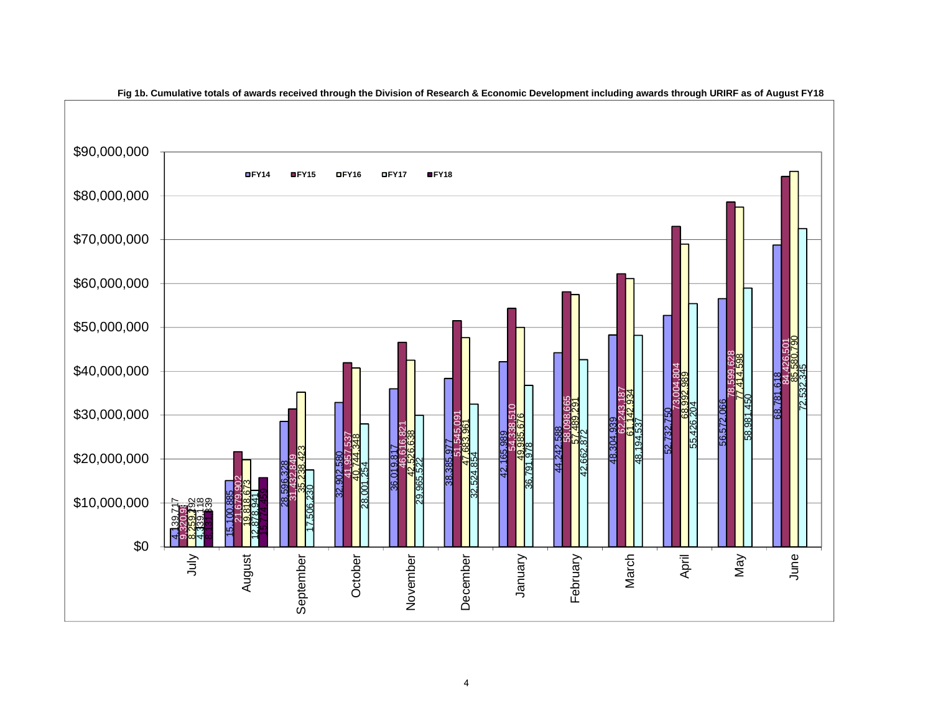

**Fig 1b. Cumulative totals of awards received through the Division of Research & Economic Development including awards through URIRF as of August FY18**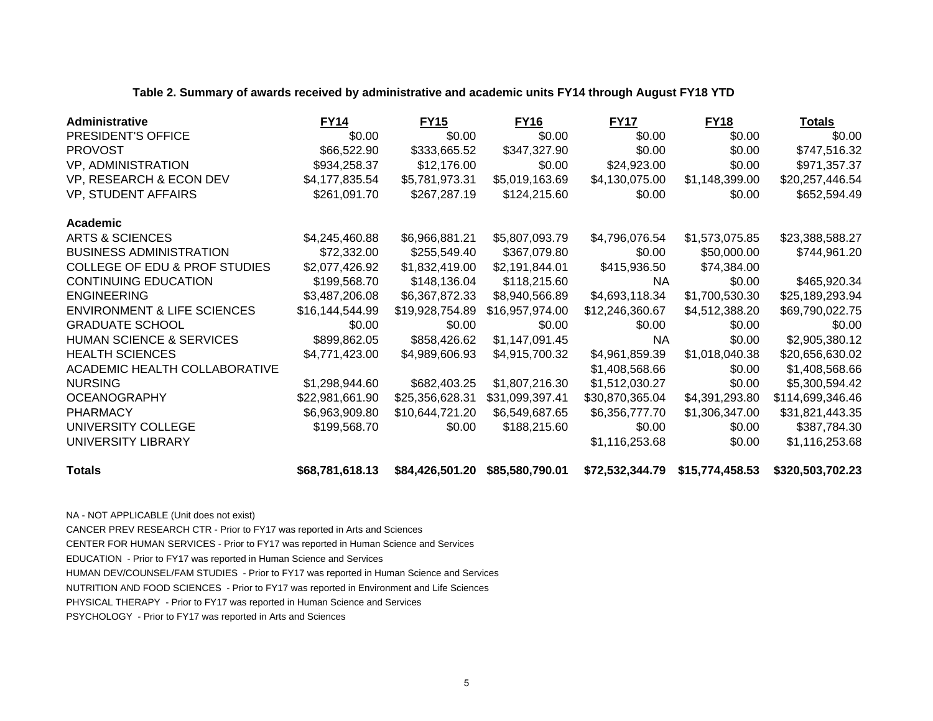|  | Table 2. Summary of awards received by administrative and academic units FY14 through August FY18 YTD |  |
|--|-------------------------------------------------------------------------------------------------------|--|
|  |                                                                                                       |  |

| Administrative                           | <b>FY14</b>     | <b>FY15</b>     | <b>FY16</b>     | <b>FY17</b>     | <b>FY18</b>     | Totals           |
|------------------------------------------|-----------------|-----------------|-----------------|-----------------|-----------------|------------------|
| PRESIDENT'S OFFICE                       | \$0.00          | \$0.00          | \$0.00          | \$0.00          | \$0.00          | \$0.00           |
| <b>PROVOST</b>                           | \$66,522.90     | \$333,665.52    | \$347,327.90    | \$0.00          | \$0.00          | \$747,516.32     |
| <b>VP, ADMINISTRATION</b>                | \$934,258.37    | \$12,176.00     | \$0.00          | \$24,923.00     | \$0.00          | \$971,357.37     |
| VP, RESEARCH & ECON DEV                  | \$4,177,835.54  | \$5,781,973.31  | \$5,019,163.69  | \$4,130,075.00  | \$1,148,399.00  | \$20,257,446.54  |
| VP, STUDENT AFFAIRS                      | \$261,091.70    | \$267,287.19    | \$124,215.60    | \$0.00          | \$0.00          | \$652,594.49     |
| Academic                                 |                 |                 |                 |                 |                 |                  |
| <b>ARTS &amp; SCIENCES</b>               | \$4,245,460.88  | \$6,966,881.21  | \$5,807,093.79  | \$4,796,076.54  | \$1,573,075.85  | \$23,388,588.27  |
| <b>BUSINESS ADMINISTRATION</b>           | \$72,332.00     | \$255,549.40    | \$367,079.80    | \$0.00          | \$50,000.00     | \$744,961.20     |
| <b>COLLEGE OF EDU &amp; PROF STUDIES</b> | \$2,077,426.92  | \$1,832,419.00  | \$2,191,844.01  | \$415,936.50    | \$74,384.00     |                  |
| <b>CONTINUING EDUCATION</b>              | \$199,568.70    | \$148,136.04    | \$118,215.60    | <b>NA</b>       | \$0.00          | \$465,920.34     |
| <b>ENGINEERING</b>                       | \$3,487,206.08  | \$6,367,872.33  | \$8,940,566.89  | \$4,693,118.34  | \$1,700,530.30  | \$25,189,293.94  |
| <b>ENVIRONMENT &amp; LIFE SCIENCES</b>   | \$16,144,544.99 | \$19,928,754.89 | \$16,957,974.00 | \$12,246,360.67 | \$4,512,388.20  | \$69,790,022.75  |
| <b>GRADUATE SCHOOL</b>                   | \$0.00          | \$0.00          | \$0.00          | \$0.00          | \$0.00          | \$0.00           |
| <b>HUMAN SCIENCE &amp; SERVICES</b>      | \$899,862.05    | \$858,426.62    | \$1,147,091.45  | NA.             | \$0.00          | \$2,905,380.12   |
| <b>HEALTH SCIENCES</b>                   | \$4,771,423.00  | \$4,989,606.93  | \$4,915,700.32  | \$4,961,859.39  | \$1,018,040.38  | \$20,656,630.02  |
| ACADEMIC HEALTH COLLABORATIVE            |                 |                 |                 | \$1,408,568.66  | \$0.00          | \$1,408,568.66   |
| <b>NURSING</b>                           | \$1,298,944.60  | \$682,403.25    | \$1,807,216.30  | \$1,512,030.27  | \$0.00          | \$5,300,594.42   |
| <b>OCEANOGRAPHY</b>                      | \$22,981,661.90 | \$25,356,628.31 | \$31,099,397.41 | \$30,870,365.04 | \$4,391,293.80  | \$114,699,346.46 |
| <b>PHARMACY</b>                          | \$6,963,909.80  | \$10,644,721.20 | \$6,549,687.65  | \$6,356,777.70  | \$1,306,347.00  | \$31,821,443.35  |
| UNIVERSITY COLLEGE                       | \$199,568.70    | \$0.00          | \$188,215.60    | \$0.00          | \$0.00          | \$387,784.30     |
| UNIVERSITY LIBRARY                       |                 |                 |                 | \$1,116,253.68  | \$0.00          | \$1,116,253.68   |
| <b>Totals</b>                            | \$68,781,618.13 | \$84,426,501.20 | \$85,580,790.01 | \$72,532,344.79 | \$15,774,458.53 | \$320,503,702.23 |

NA - NOT APPLICABLE (Unit does not exist)

CANCER PREV RESEARCH CTR - Prior to FY17 was reported in Arts and Sciences

CENTER FOR HUMAN SERVICES - Prior to FY17 was reported in Human Science and Services

EDUCATION - Prior to FY17 was reported in Human Science and Services

HUMAN DEV/COUNSEL/FAM STUDIES - Prior to FY17 was reported in Human Science and Services

NUTRITION AND FOOD SCIENCES - Prior to FY17 was reported in Environment and Life Sciences

PHYSICAL THERAPY - Prior to FY17 was reported in Human Science and Services

PSYCHOLOGY - Prior to FY17 was reported in Arts and Sciences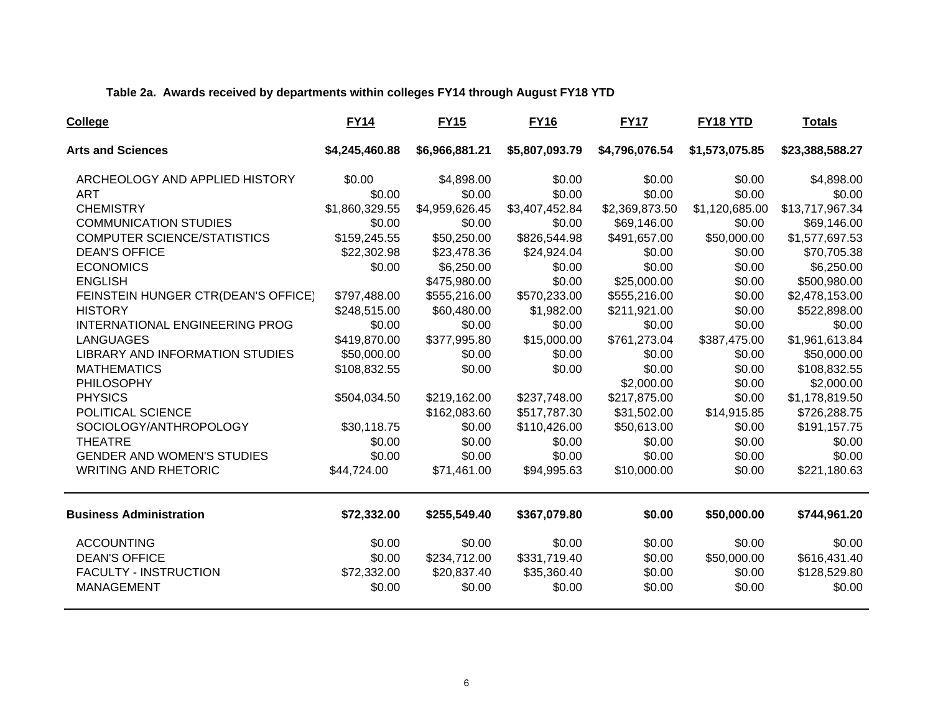### **Table 2a. Awards received by departments within colleges FY14 through August FY18 YTD**

| College                                | <b>FY14</b>    | <b>FY15</b>    | <b>FY16</b>    | <b>FY17</b>    | FY18 YTD       | <b>Totals</b>   |
|----------------------------------------|----------------|----------------|----------------|----------------|----------------|-----------------|
| <b>Arts and Sciences</b>               | \$4,245,460.88 | \$6,966,881.21 | \$5,807,093.79 | \$4,796,076.54 | \$1,573,075.85 | \$23,388,588.27 |
| ARCHEOLOGY AND APPLIED HISTORY         | \$0.00         | \$4,898.00     | \$0.00         | \$0.00         | \$0.00         | \$4,898.00      |
| <b>ART</b>                             | \$0.00         | \$0.00         | \$0.00         | \$0.00         | \$0.00         | \$0.00          |
| <b>CHEMISTRY</b>                       | \$1,860,329.55 | \$4,959,626.45 | \$3,407,452.84 | \$2,369,873.50 | \$1,120,685.00 | \$13,717,967.34 |
| <b>COMMUNICATION STUDIES</b>           | \$0.00         | \$0.00         | \$0.00         | \$69,146.00    | \$0.00         | \$69,146.00     |
| <b>COMPUTER SCIENCE/STATISTICS</b>     | \$159,245.55   | \$50,250.00    | \$826,544.98   | \$491,657.00   | \$50,000.00    | \$1,577,697.53  |
| <b>DEAN'S OFFICE</b>                   | \$22,302.98    | \$23,478.36    | \$24,924.04    | \$0.00         | \$0.00         | \$70,705.38     |
| <b>ECONOMICS</b>                       | \$0.00         | \$6,250.00     | \$0.00         | \$0.00         | \$0.00         | \$6,250.00      |
| <b>ENGLISH</b>                         |                | \$475,980.00   | \$0.00         | \$25,000.00    | \$0.00         | \$500,980.00    |
| FEINSTEIN HUNGER CTR(DEAN'S OFFICE)    | \$797,488.00   | \$555,216.00   | \$570,233.00   | \$555,216.00   | \$0.00         | \$2,478,153.00  |
| <b>HISTORY</b>                         | \$248,515.00   | \$60,480.00    | \$1,982.00     | \$211,921.00   | \$0.00         | \$522,898.00    |
| <b>INTERNATIONAL ENGINEERING PROG</b>  | \$0.00         | \$0.00         | \$0.00         | \$0.00         | \$0.00         | \$0.00          |
| <b>LANGUAGES</b>                       | \$419,870.00   | \$377,995.80   | \$15,000.00    | \$761,273.04   | \$387,475.00   | \$1,961,613.84  |
| <b>LIBRARY AND INFORMATION STUDIES</b> | \$50,000.00    | \$0.00         | \$0.00         | \$0.00         | \$0.00         | \$50,000.00     |
| <b>MATHEMATICS</b>                     | \$108,832.55   | \$0.00         | \$0.00         | \$0.00         | \$0.00         | \$108,832.55    |
| PHILOSOPHY                             |                |                |                | \$2,000.00     | \$0.00         | \$2,000.00      |
| <b>PHYSICS</b>                         | \$504,034.50   | \$219,162.00   | \$237,748.00   | \$217,875.00   | \$0.00         | \$1,178,819.50  |
| POLITICAL SCIENCE                      |                | \$162,083.60   | \$517,787.30   | \$31,502.00    | \$14,915.85    | \$726,288.75    |
| SOCIOLOGY/ANTHROPOLOGY                 | \$30,118.75    | \$0.00         | \$110,426.00   | \$50,613.00    | \$0.00         | \$191,157.75    |
| <b>THEATRE</b>                         | \$0.00         | \$0.00         | \$0.00         | \$0.00         | \$0.00         | \$0.00          |
| <b>GENDER AND WOMEN'S STUDIES</b>      | \$0.00         | \$0.00         | \$0.00         | \$0.00         | \$0.00         | \$0.00          |
| <b>WRITING AND RHETORIC</b>            | \$44,724.00    | \$71,461.00    | \$94,995.63    | \$10,000.00    | \$0.00         | \$221,180.63    |
| <b>Business Administration</b>         | \$72,332.00    | \$255,549.40   | \$367,079.80   | \$0.00         | \$50,000.00    | \$744,961.20    |
| <b>ACCOUNTING</b>                      | \$0.00         | \$0.00         | \$0.00         | \$0.00         | \$0.00         | \$0.00          |
| <b>DEAN'S OFFICE</b>                   | \$0.00         | \$234,712.00   | \$331,719.40   | \$0.00         | \$50,000.00    | \$616,431.40    |
| <b>FACULTY - INSTRUCTION</b>           | \$72,332.00    | \$20,837.40    | \$35,360.40    | \$0.00         | \$0.00         | \$128,529.80    |
| <b>MANAGEMENT</b>                      | \$0.00         | \$0.00         | \$0.00         | \$0.00         | \$0.00         | \$0.00          |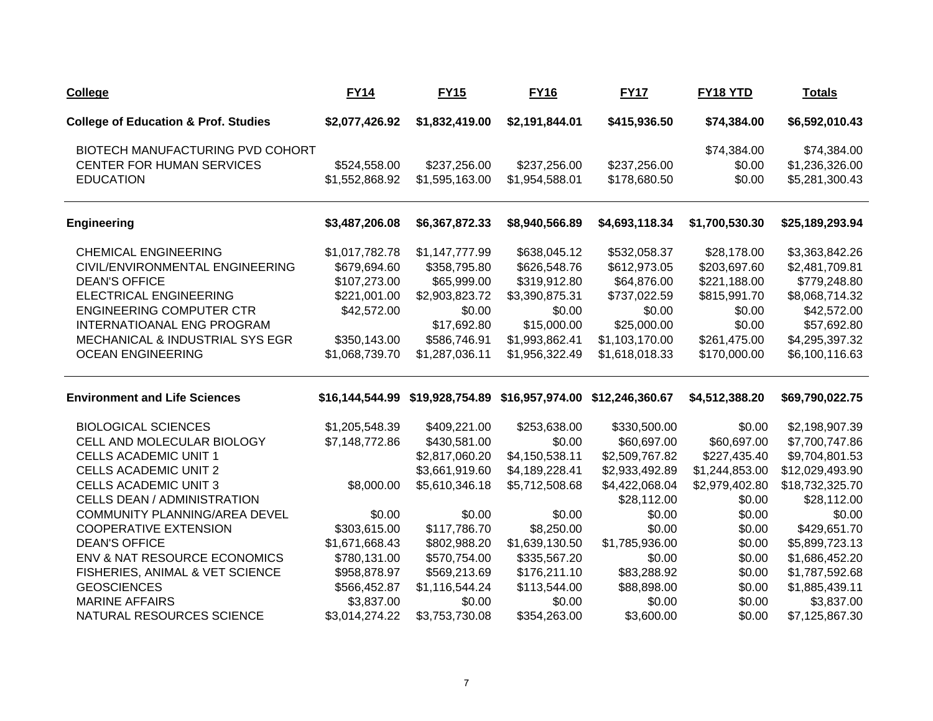| <b>College</b>                                  | <b>FY14</b>    | <b>FY15</b>    | <b>FY16</b>                                                     | <b>FY17</b>    | FY <sub>18</sub> YTD | <u>Totals</u>   |
|-------------------------------------------------|----------------|----------------|-----------------------------------------------------------------|----------------|----------------------|-----------------|
| <b>College of Education &amp; Prof. Studies</b> | \$2,077,426.92 | \$1,832,419.00 | \$2,191,844.01                                                  | \$415,936.50   | \$74,384.00          | \$6,592,010.43  |
| BIOTECH MANUFACTURING PVD COHORT                |                |                |                                                                 |                | \$74,384.00          | \$74,384.00     |
| <b>CENTER FOR HUMAN SERVICES</b>                | \$524,558.00   | \$237,256.00   | \$237,256.00                                                    | \$237,256.00   | \$0.00               | \$1,236,326.00  |
| <b>EDUCATION</b>                                | \$1,552,868.92 | \$1,595,163.00 | \$1,954,588.01                                                  | \$178,680.50   | \$0.00               | \$5,281,300.43  |
| <b>Engineering</b>                              | \$3,487,206.08 | \$6,367,872.33 | \$8,940,566.89                                                  | \$4,693,118.34 | \$1,700,530.30       | \$25,189,293.94 |
| <b>CHEMICAL ENGINEERING</b>                     | \$1,017,782.78 | \$1,147,777.99 | \$638,045.12                                                    | \$532,058.37   | \$28,178.00          | \$3,363,842.26  |
| CIVIL/ENVIRONMENTAL ENGINEERING                 | \$679,694.60   | \$358,795.80   | \$626,548.76                                                    | \$612,973.05   | \$203,697.60         | \$2,481,709.81  |
| <b>DEAN'S OFFICE</b>                            | \$107,273.00   | \$65,999.00    | \$319,912.80                                                    | \$64,876.00    | \$221,188.00         | \$779,248.80    |
| <b>ELECTRICAL ENGINEERING</b>                   | \$221,001.00   | \$2,903,823.72 | \$3,390,875.31                                                  | \$737,022.59   | \$815,991.70         | \$8,068,714.32  |
| <b>ENGINEERING COMPUTER CTR</b>                 | \$42,572.00    | \$0.00         | \$0.00                                                          | \$0.00         | \$0.00               | \$42,572.00     |
| INTERNATIOANAL ENG PROGRAM                      |                | \$17,692.80    | \$15,000.00                                                     | \$25,000.00    | \$0.00               | \$57,692.80     |
| MECHANICAL & INDUSTRIAL SYS EGR                 | \$350,143.00   | \$586,746.91   | \$1,993,862.41                                                  | \$1,103,170.00 | \$261,475.00         | \$4,295,397.32  |
| <b>OCEAN ENGINEERING</b>                        | \$1,068,739.70 | \$1,287,036.11 | \$1,956,322.49                                                  | \$1,618,018.33 | \$170,000.00         | \$6,100,116.63  |
| <b>Environment and Life Sciences</b>            |                |                | \$16,144,544.99 \$19,928,754.89 \$16,957,974.00 \$12,246,360.67 |                | \$4,512,388.20       | \$69,790,022.75 |
| <b>BIOLOGICAL SCIENCES</b>                      | \$1,205,548.39 | \$409,221.00   | \$253,638.00                                                    | \$330,500.00   | \$0.00               | \$2,198,907.39  |
| CELL AND MOLECULAR BIOLOGY                      | \$7,148,772.86 | \$430,581.00   | \$0.00                                                          | \$60,697.00    | \$60,697.00          | \$7,700,747.86  |
| <b>CELLS ACADEMIC UNIT 1</b>                    |                | \$2,817,060.20 | \$4,150,538.11                                                  | \$2,509,767.82 | \$227,435.40         | \$9,704,801.53  |
| <b>CELLS ACADEMIC UNIT 2</b>                    |                | \$3,661,919.60 | \$4,189,228.41                                                  | \$2,933,492.89 | \$1,244,853.00       | \$12,029,493.90 |
| <b>CELLS ACADEMIC UNIT 3</b>                    | \$8,000.00     | \$5,610,346.18 | \$5,712,508.68                                                  | \$4,422,068.04 | \$2,979,402.80       | \$18,732,325.70 |
| <b>CELLS DEAN / ADMINISTRATION</b>              |                |                |                                                                 | \$28,112.00    | \$0.00               | \$28,112.00     |
| COMMUNITY PLANNING/AREA DEVEL                   | \$0.00         | \$0.00         | \$0.00                                                          | \$0.00         | \$0.00               | \$0.00          |
| <b>COOPERATIVE EXTENSION</b>                    | \$303,615.00   | \$117,786.70   | \$8,250.00                                                      | \$0.00         | \$0.00               | \$429,651.70    |
| <b>DEAN'S OFFICE</b>                            | \$1,671,668.43 | \$802,988.20   | \$1,639,130.50                                                  | \$1,785,936.00 | \$0.00               | \$5,899,723.13  |
| ENV & NAT RESOURCE ECONOMICS                    | \$780,131.00   | \$570,754.00   | \$335,567.20                                                    | \$0.00         | \$0.00               | \$1,686,452.20  |
| FISHERIES, ANIMAL & VET SCIENCE                 | \$958,878.97   | \$569,213.69   | \$176,211.10                                                    | \$83,288.92    | \$0.00               | \$1,787,592.68  |
| <b>GEOSCIENCES</b>                              | \$566,452.87   | \$1,116,544.24 | \$113,544.00                                                    | \$88,898.00    | \$0.00               | \$1,885,439.11  |
| <b>MARINE AFFAIRS</b>                           | \$3,837.00     | \$0.00         | \$0.00                                                          | \$0.00         | \$0.00               | \$3,837.00      |
| NATURAL RESOURCES SCIENCE                       | \$3,014,274.22 | \$3,753,730.08 | \$354,263.00                                                    | \$3,600.00     | \$0.00               | \$7,125,867.30  |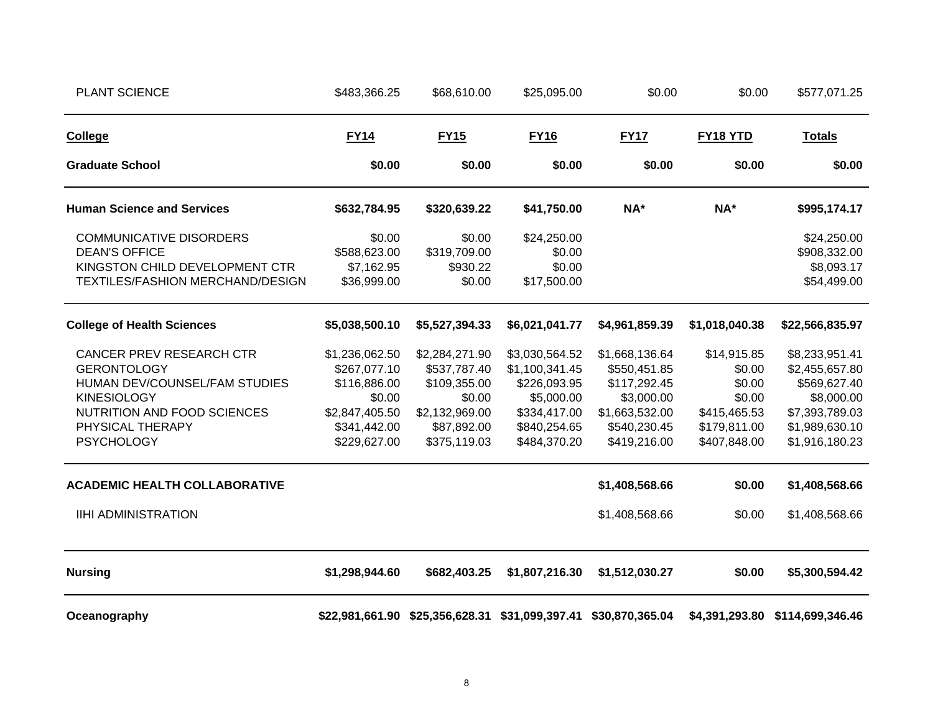| <b>PLANT SCIENCE</b>                                                                                                                                                                                                  | \$483,366.25                                                                                               | \$68,610.00                                                                                               | \$25,095.00                                                                                                    | \$0.00                                                                                                                           | \$0.00                                                                                              | \$577,071.25                                                                                                                           |
|-----------------------------------------------------------------------------------------------------------------------------------------------------------------------------------------------------------------------|------------------------------------------------------------------------------------------------------------|-----------------------------------------------------------------------------------------------------------|----------------------------------------------------------------------------------------------------------------|----------------------------------------------------------------------------------------------------------------------------------|-----------------------------------------------------------------------------------------------------|----------------------------------------------------------------------------------------------------------------------------------------|
| College                                                                                                                                                                                                               | <b>FY14</b>                                                                                                | <b>FY15</b>                                                                                               | <b>FY16</b>                                                                                                    | <b>FY17</b>                                                                                                                      | <b>FY18 YTD</b>                                                                                     | <b>Totals</b>                                                                                                                          |
| <b>Graduate School</b>                                                                                                                                                                                                | \$0.00                                                                                                     | \$0.00                                                                                                    | \$0.00                                                                                                         | \$0.00                                                                                                                           | \$0.00                                                                                              | \$0.00                                                                                                                                 |
| <b>Human Science and Services</b>                                                                                                                                                                                     | \$632,784.95                                                                                               | \$320,639.22                                                                                              | \$41,750.00                                                                                                    | NA*                                                                                                                              | NA*                                                                                                 | \$995,174.17                                                                                                                           |
| <b>COMMUNICATIVE DISORDERS</b><br><b>DEAN'S OFFICE</b><br>KINGSTON CHILD DEVELOPMENT CTR<br>TEXTILES/FASHION MERCHAND/DESIGN                                                                                          | \$0.00<br>\$588,623.00<br>\$7,162.95<br>\$36,999.00                                                        | \$0.00<br>\$319,709.00<br>\$930.22<br>\$0.00                                                              | \$24,250.00<br>\$0.00<br>\$0.00<br>\$17,500.00                                                                 |                                                                                                                                  |                                                                                                     | \$24,250.00<br>\$908,332.00<br>\$8,093.17<br>\$54,499.00                                                                               |
| <b>College of Health Sciences</b>                                                                                                                                                                                     | \$5,038,500.10                                                                                             | \$5,527,394.33                                                                                            | \$6,021,041.77                                                                                                 | \$4,961,859.39                                                                                                                   | \$1,018,040.38                                                                                      | \$22,566,835.97                                                                                                                        |
| CANCER PREV RESEARCH CTR<br><b>GERONTOLOGY</b><br>HUMAN DEV/COUNSEL/FAM STUDIES<br><b>KINESIOLOGY</b><br>NUTRITION AND FOOD SCIENCES<br>PHYSICAL THERAPY<br><b>PSYCHOLOGY</b><br><b>ACADEMIC HEALTH COLLABORATIVE</b> | \$1,236,062.50<br>\$267,077.10<br>\$116,886.00<br>\$0.00<br>\$2,847,405.50<br>\$341,442.00<br>\$229,627.00 | \$2,284,271.90<br>\$537,787.40<br>\$109,355.00<br>\$0.00<br>\$2,132,969.00<br>\$87,892.00<br>\$375,119.03 | \$3,030,564.52<br>\$1,100,341.45<br>\$226,093.95<br>\$5,000.00<br>\$334,417.00<br>\$840,254.65<br>\$484,370.20 | \$1,668,136.64<br>\$550,451.85<br>\$117,292.45<br>\$3,000.00<br>\$1,663,532.00<br>\$540,230.45<br>\$419,216.00<br>\$1,408,568.66 | \$14,915.85<br>\$0.00<br>\$0.00<br>\$0.00<br>\$415,465.53<br>\$179,811.00<br>\$407,848.00<br>\$0.00 | \$8,233,951.41<br>\$2,455,657.80<br>\$569,627.40<br>\$8,000.00<br>\$7,393,789.03<br>\$1,989,630.10<br>\$1,916,180.23<br>\$1,408,568.66 |
| <b>IIHI ADMINISTRATION</b>                                                                                                                                                                                            |                                                                                                            |                                                                                                           |                                                                                                                | \$1,408,568.66                                                                                                                   | \$0.00                                                                                              | \$1,408,568.66                                                                                                                         |
| <b>Nursing</b>                                                                                                                                                                                                        | \$1,298,944.60                                                                                             | \$682,403.25                                                                                              | \$1,807,216.30                                                                                                 | \$1,512,030.27                                                                                                                   | \$0.00                                                                                              | \$5,300,594.42                                                                                                                         |
| Oceanography                                                                                                                                                                                                          |                                                                                                            |                                                                                                           |                                                                                                                | \$22,981,661.90 \$25,356,628.31 \$31,099,397.41 \$30,870,365.04                                                                  |                                                                                                     | \$4,391,293.80 \$114,699,346.46                                                                                                        |

8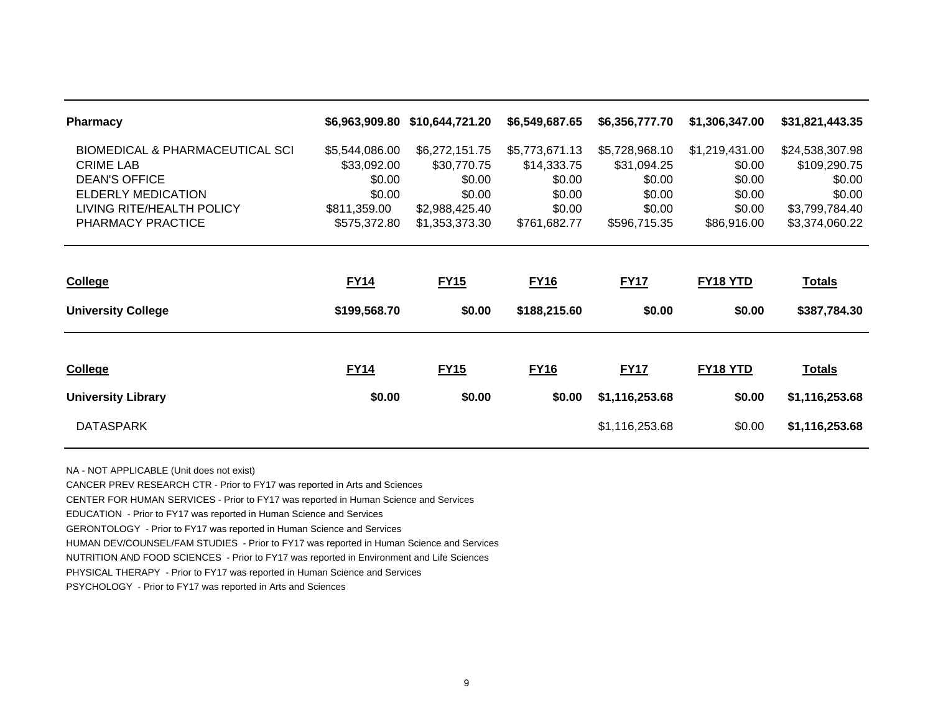| <b>Pharmacy</b>                            |                | \$6,963,909.80 \$10,644,721.20 | \$6,549,687.65 | \$6,356,777.70 | \$1,306,347.00 | \$31,821,443.35 |
|--------------------------------------------|----------------|--------------------------------|----------------|----------------|----------------|-----------------|
| <b>BIOMEDICAL &amp; PHARMACEUTICAL SCI</b> | \$5,544,086.00 | \$6,272,151.75                 | \$5,773,671.13 | \$5,728,968.10 | \$1,219,431.00 | \$24,538,307.98 |
| <b>CRIME LAB</b>                           | \$33,092.00    | \$30,770.75                    | \$14,333.75    | \$31,094.25    | \$0.00         | \$109,290.75    |
| <b>DEAN'S OFFICE</b>                       | \$0.00         | \$0.00                         | \$0.00         | \$0.00         | \$0.00         | \$0.00          |
| ELDERLY MEDICATION                         | \$0.00         | \$0.00                         | \$0.00         | \$0.00         | \$0.00         | \$0.00          |
| LIVING RITE/HEALTH POLICY                  | \$811,359.00   | \$2,988,425.40                 | \$0.00         | \$0.00         | \$0.00         | \$3,799,784.40  |
| PHARMACY PRACTICE                          | \$575,372.80   | \$1,353,373.30                 | \$761,682.77   | \$596,715.35   | \$86,916.00    | \$3,374,060.22  |
|                                            |                |                                |                |                |                |                 |
| <b>College</b>                             | <b>FY14</b>    | <b>FY15</b>                    | <b>FY16</b>    | <b>FY17</b>    | FY18 YTD       | <u>Totals</u>   |
| <b>University College</b>                  | \$199,568.70   | \$0.00                         | \$188,215.60   | \$0.00         | \$0.00         | \$387,784.30    |
|                                            |                |                                |                |                |                |                 |
| <b>College</b>                             | <b>FY14</b>    | <b>FY15</b>                    | <b>FY16</b>    | <b>FY17</b>    | FY18 YTD       | <b>Totals</b>   |
| <b>University Library</b>                  | \$0.00         | \$0.00                         | \$0.00         | \$1,116,253.68 | \$0.00         | \$1,116,253.68  |

NA - NOT APPLICABLE (Unit does not exist)

CANCER PREV RESEARCH CTR - Prior to FY17 was reported in Arts and Sciences

CENTER FOR HUMAN SERVICES - Prior to FY17 was reported in Human Science and Services

EDUCATION - Prior to FY17 was reported in Human Science and Services

GERONTOLOGY - Prior to FY17 was reported in Human Science and Services

HUMAN DEV/COUNSEL/FAM STUDIES - Prior to FY17 was reported in Human Science and Services

NUTRITION AND FOOD SCIENCES - Prior to FY17 was reported in Environment and Life Sciences

PHYSICAL THERAPY - Prior to FY17 was reported in Human Science and Services

PSYCHOLOGY - Prior to FY17 was reported in Arts and Sciences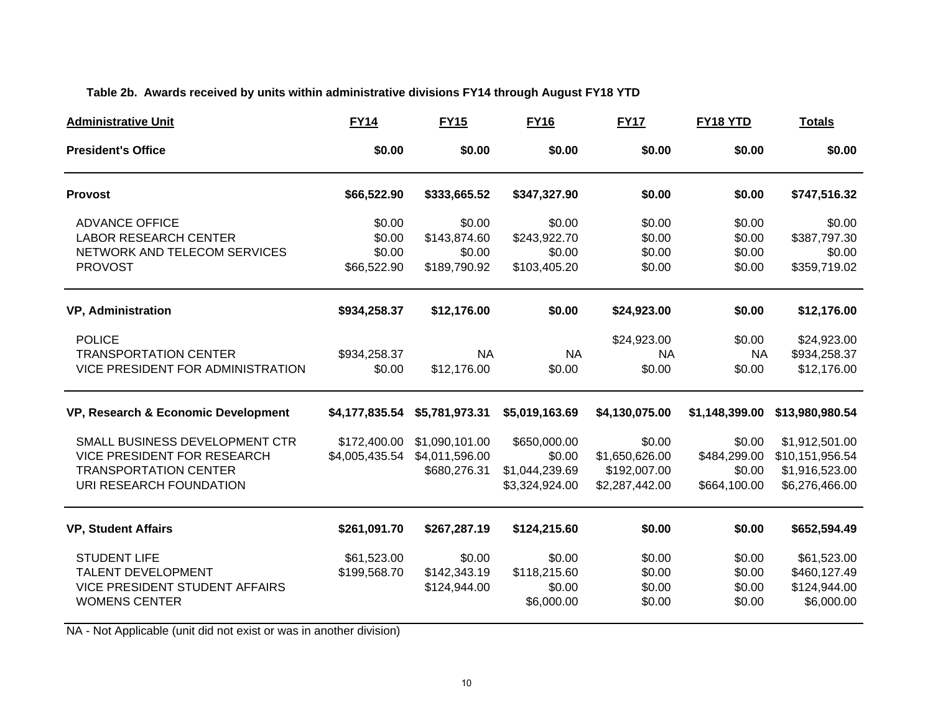### **Table 2b. Awards received by units within administrative divisions FY14 through August FY18 YTD**

| <b>Administrative Unit</b>                                                                                                      | <b>FY14</b>                               | <b>FY15</b>                                      | <b>FY16</b>                                                | <b>FY17</b>                                                | FY18 YTD                                         | <b>Totals</b>                                                         |
|---------------------------------------------------------------------------------------------------------------------------------|-------------------------------------------|--------------------------------------------------|------------------------------------------------------------|------------------------------------------------------------|--------------------------------------------------|-----------------------------------------------------------------------|
| <b>President's Office</b>                                                                                                       | \$0.00                                    | \$0.00                                           | \$0.00                                                     | \$0.00                                                     | \$0.00                                           | \$0.00                                                                |
| <b>Provost</b>                                                                                                                  | \$66,522.90                               | \$333,665.52                                     | \$347,327.90                                               | \$0.00                                                     | \$0.00                                           | \$747,516.32                                                          |
| <b>ADVANCE OFFICE</b><br><b>LABOR RESEARCH CENTER</b><br>NETWORK AND TELECOM SERVICES<br><b>PROVOST</b>                         | \$0.00<br>\$0.00<br>\$0.00<br>\$66,522.90 | \$0.00<br>\$143,874.60<br>\$0.00<br>\$189,790.92 | \$0.00<br>\$243,922.70<br>\$0.00<br>\$103,405.20           | \$0.00<br>\$0.00<br>\$0.00<br>\$0.00                       | \$0.00<br>\$0.00<br>\$0.00<br>\$0.00             | \$0.00<br>\$387,797.30<br>\$0.00<br>\$359,719.02                      |
| <b>VP, Administration</b>                                                                                                       | \$934,258.37                              | \$12,176.00                                      | \$0.00                                                     | \$24,923.00                                                | \$0.00                                           | \$12,176.00                                                           |
| <b>POLICE</b><br><b>TRANSPORTATION CENTER</b><br>VICE PRESIDENT FOR ADMINISTRATION                                              | \$934,258.37<br>\$0.00                    | <b>NA</b><br>\$12,176.00                         | <b>NA</b><br>\$0.00                                        | \$24,923.00<br><b>NA</b><br>\$0.00                         | \$0.00<br><b>NA</b><br>\$0.00                    | \$24,923.00<br>\$934,258.37<br>\$12,176.00                            |
| VP, Research & Economic Development                                                                                             | \$4,177,835.54                            | \$5,781,973.31                                   | \$5,019,163.69                                             | \$4,130,075.00                                             | \$1,148,399.00                                   | \$13,980,980.54                                                       |
| SMALL BUSINESS DEVELOPMENT CTR<br><b>VICE PRESIDENT FOR RESEARCH</b><br><b>TRANSPORTATION CENTER</b><br>URI RESEARCH FOUNDATION | \$172,400.00<br>\$4,005,435.54            | \$1,090,101.00<br>\$4,011,596.00<br>\$680,276.31 | \$650,000.00<br>\$0.00<br>\$1,044,239.69<br>\$3,324,924.00 | \$0.00<br>\$1,650,626.00<br>\$192,007.00<br>\$2,287,442.00 | \$0.00<br>\$484,299.00<br>\$0.00<br>\$664,100.00 | \$1,912,501.00<br>\$10,151,956.54<br>\$1,916,523.00<br>\$6,276,466.00 |
| <b>VP, Student Affairs</b>                                                                                                      | \$261,091.70                              | \$267,287.19                                     | \$124,215.60                                               | \$0.00                                                     | \$0.00                                           | \$652,594.49                                                          |
| <b>STUDENT LIFE</b><br><b>TALENT DEVELOPMENT</b><br><b>VICE PRESIDENT STUDENT AFFAIRS</b><br><b>WOMENS CENTER</b>               | \$61,523.00<br>\$199,568.70               | \$0.00<br>\$142,343.19<br>\$124,944.00           | \$0.00<br>\$118,215.60<br>\$0.00<br>\$6,000.00             | \$0.00<br>\$0.00<br>\$0.00<br>\$0.00                       | \$0.00<br>\$0.00<br>\$0.00<br>\$0.00             | \$61,523.00<br>\$460,127.49<br>\$124,944.00<br>\$6,000.00             |

NA - Not Applicable (unit did not exist or was in another division)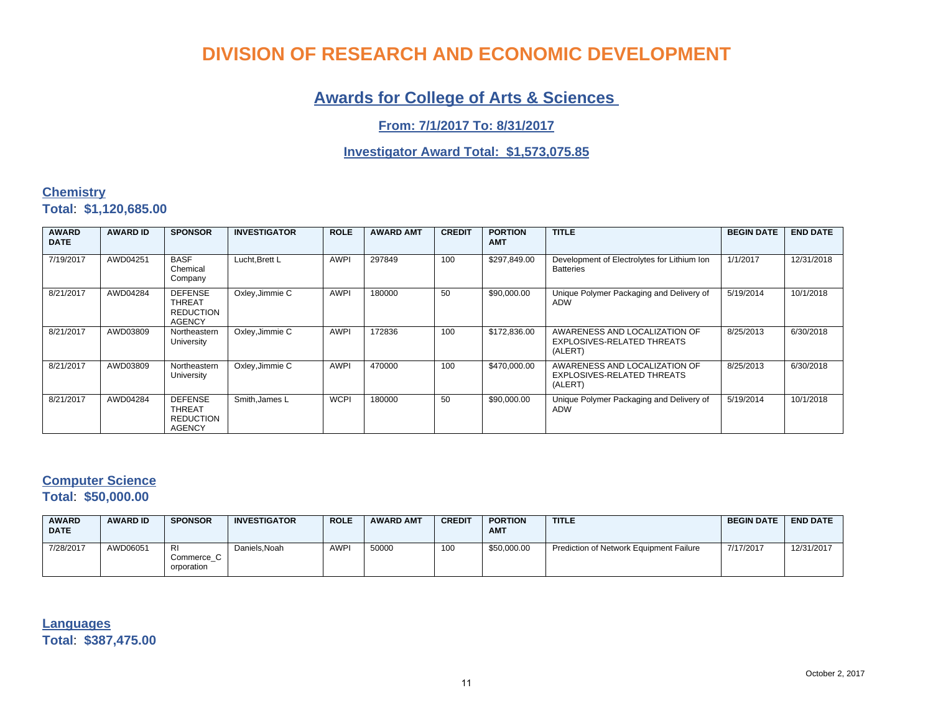### **Awards for College of Arts & Sciences**

### **From: 7/1/2017 To: 8/31/2017**

### **Investigator Award Total: \$1,573,075.85**

### **Chemistry Total**: **\$1,120,685.00**

| <b>AWARD</b><br><b>DATE</b> | <b>AWARD ID</b> | <b>SPONSOR</b>                                                       | <b>INVESTIGATOR</b> | <b>ROLE</b> | <b>AWARD AMT</b> | <b>CREDIT</b> | <b>PORTION</b><br><b>AMT</b> | <b>TITLE</b>                                                           | <b>BEGIN DATE</b> | <b>END DATE</b> |
|-----------------------------|-----------------|----------------------------------------------------------------------|---------------------|-------------|------------------|---------------|------------------------------|------------------------------------------------------------------------|-------------------|-----------------|
| 7/19/2017                   | AWD04251        | <b>BASF</b><br>Chemical<br>Company                                   | Lucht.Brett L       | <b>AWPI</b> | 297849           | 100           | \$297,849.00                 | Development of Electrolytes for Lithium Ion<br><b>Batteries</b>        | 1/1/2017          | 12/31/2018      |
| 8/21/2017                   | AWD04284        | <b>DEFENSE</b><br><b>THREAT</b><br><b>REDUCTION</b><br><b>AGENCY</b> | Oxley, Jimmie C     | <b>AWPI</b> | 180000           | 50            | \$90,000.00                  | Unique Polymer Packaging and Delivery of<br><b>ADW</b>                 | 5/19/2014         | 10/1/2018       |
| 8/21/2017                   | AWD03809        | Northeastern<br>University                                           | Oxley, Jimmie C     | <b>AWPI</b> | 172836           | 100           | \$172,836.00                 | AWARENESS AND LOCALIZATION OF<br>EXPLOSIVES-RELATED THREATS<br>(ALERT) | 8/25/2013         | 6/30/2018       |
| 8/21/2017                   | AWD03809        | Northeastern<br>University                                           | Oxley, Jimmie C     | <b>AWPI</b> | 470000           | 100           | \$470,000.00                 | AWARENESS AND LOCALIZATION OF<br>EXPLOSIVES-RELATED THREATS<br>(ALERT) | 8/25/2013         | 6/30/2018       |
| 8/21/2017                   | AWD04284        | <b>DEFENSE</b><br><b>THREAT</b><br><b>REDUCTION</b><br><b>AGENCY</b> | Smith, James L      | <b>WCPI</b> | 180000           | 50            | \$90,000.00                  | Unique Polymer Packaging and Delivery of<br><b>ADW</b>                 | 5/19/2014         | 10/1/2018       |

### **Computer Science**

**Total**: **\$50,000.00**

| <b>AWARD</b><br><b>DATE</b> | <b>AWARD ID</b> | <b>SPONSOR</b>                        | <b>INVESTIGATOR</b> | <b>ROLE</b> | <b>AWARD AMT</b> | <b>CREDIT</b> | <b>PORTION</b><br><b>AMT</b> | <b>TITLE</b>                            | <b>BEGIN DATE</b> | <b>END DATE</b> |
|-----------------------------|-----------------|---------------------------------------|---------------------|-------------|------------------|---------------|------------------------------|-----------------------------------------|-------------------|-----------------|
| 7/28/2017                   | AWD06051        | <b>RI</b><br>Commerce C<br>orporation | Daniels.Noah        | <b>AWPI</b> | 50000            | 100           | \$50,000.00                  | Prediction of Network Equipment Failure | 7/17/2017         | 12/31/2017      |

**Languages Total**: **\$387,475.00**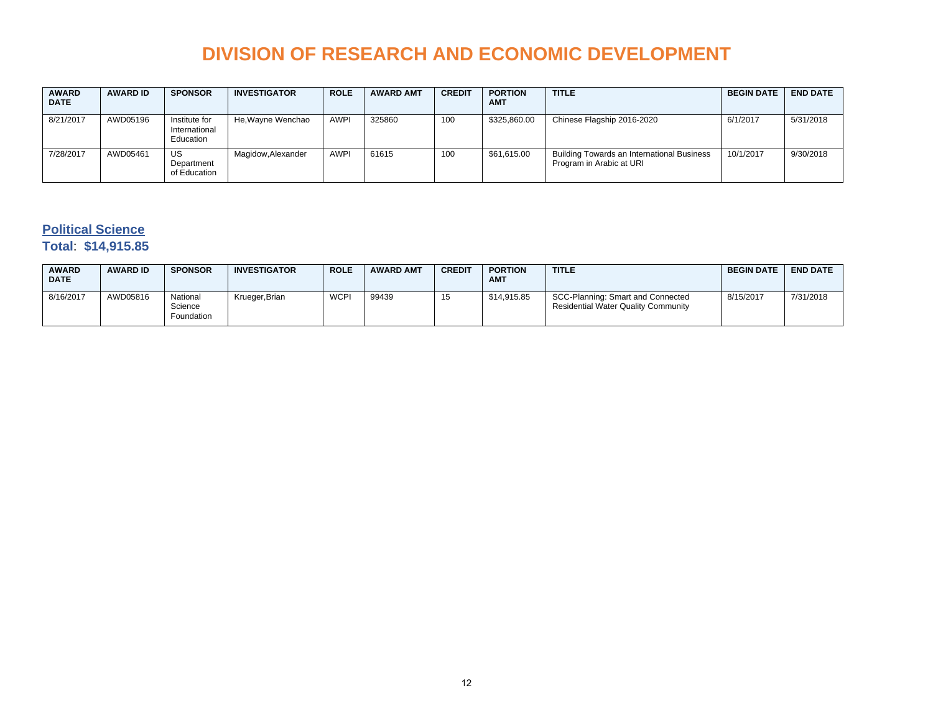| <b>AWARD</b><br><b>DATE</b> | <b>AWARD ID</b> | <b>SPONSOR</b>                              | <b>INVESTIGATOR</b> | <b>ROLE</b> | <b>AWARD AMT</b> | <b>CREDIT</b> | <b>PORTION</b><br><b>AMT</b> | <b>TITLE</b>                                                                  | <b>BEGIN DATE</b> | <b>END DATE</b> |
|-----------------------------|-----------------|---------------------------------------------|---------------------|-------------|------------------|---------------|------------------------------|-------------------------------------------------------------------------------|-------------------|-----------------|
| 8/21/2017                   | AWD05196        | Institute for<br>International<br>Education | He, Wayne Wenchao   | <b>AWPI</b> | 325860           | 100           | \$325,860.00                 | Chinese Flagship 2016-2020                                                    | 6/1/2017          | 5/31/2018       |
| 7/28/2017                   | AWD05461        | US<br>Department<br>of Education            | Magidow, Alexander  | <b>AWPI</b> | 61615            | 100           | \$61,615.00                  | <b>Building Towards an International Business</b><br>Program in Arabic at URI | 10/1/2017         | 9/30/2018       |

### **Political Science**

### **Total**: **\$14,915.85**

| <b>AWARD</b><br><b>DATE</b> | <b>AWARD ID</b> | <b>SPONSOR</b>                    | <b>INVESTIGATOR</b> | <b>ROLE</b> | <b>AWARD AMT</b> | <b>CREDIT</b> | <b>PORTION</b><br><b>AMT</b> | <b>TITLE</b>                                                                    | <b>BEGIN DATE</b> | <b>END DATE</b> |
|-----------------------------|-----------------|-----------------------------------|---------------------|-------------|------------------|---------------|------------------------------|---------------------------------------------------------------------------------|-------------------|-----------------|
| 8/16/2017                   | AWD05816        | National<br>Science<br>Foundation | Krueger, Brian      | <b>WCPI</b> | 99439            | 15            | \$14,915.85                  | SCC-Planning: Smart and Connected<br><b>Residential Water Quality Community</b> | 8/15/2017         | 7/31/2018       |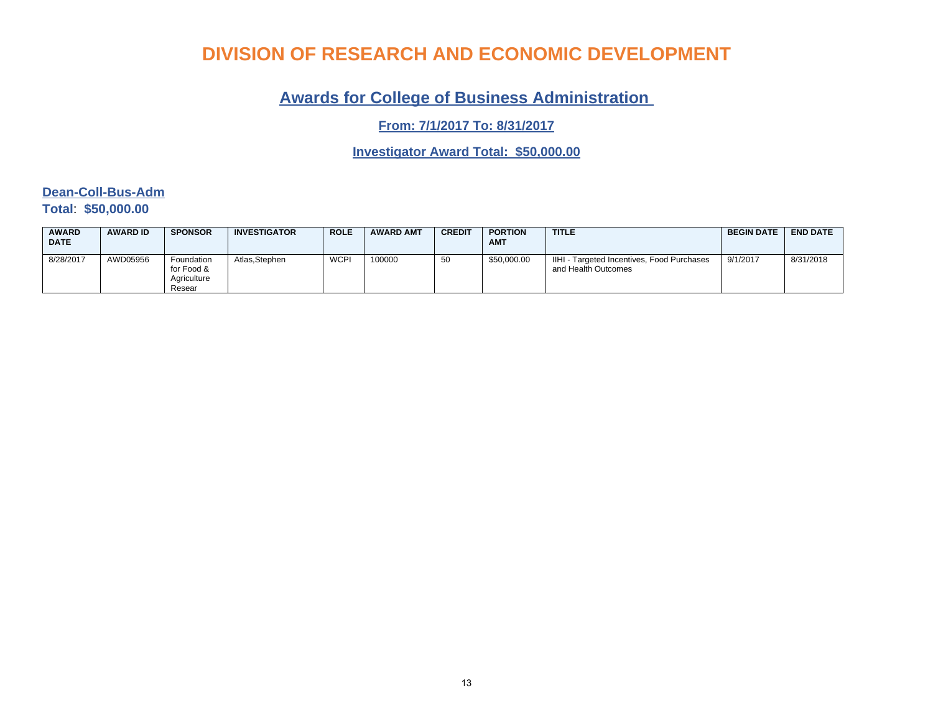## **Awards for College of Business Administration**

**From: 7/1/2017 To: 8/31/2017**

**Investigator Award Total: \$50,000.00**

### **Dean-Coll-Bus-Adm Total**: **\$50,000.00**

| <b>AWARD</b><br><b>DATE</b> | <b>AWARD ID</b> | <b>SPONSOR</b>                                    | <b>INVESTIGATOR</b> | <b>ROLE</b> | <b>AWARD AMT</b> | <b>CREDIT</b> | <b>PORTION</b><br><b>AMT</b> | <b>TITLE</b>                                                      | <b>BEGIN DATE</b> | <b>END DATE</b> |
|-----------------------------|-----------------|---------------------------------------------------|---------------------|-------------|------------------|---------------|------------------------------|-------------------------------------------------------------------|-------------------|-----------------|
| 8/28/2017                   | AWD05956        | Foundation<br>for Food &<br>Aariculture<br>Resear | Atlas.Stephen       | <b>WCPI</b> | 100000           | 50            | \$50,000.00                  | IIHI - Targeted Incentives, Food Purchases<br>and Health Outcomes | 9/1/2017          | 8/31/2018       |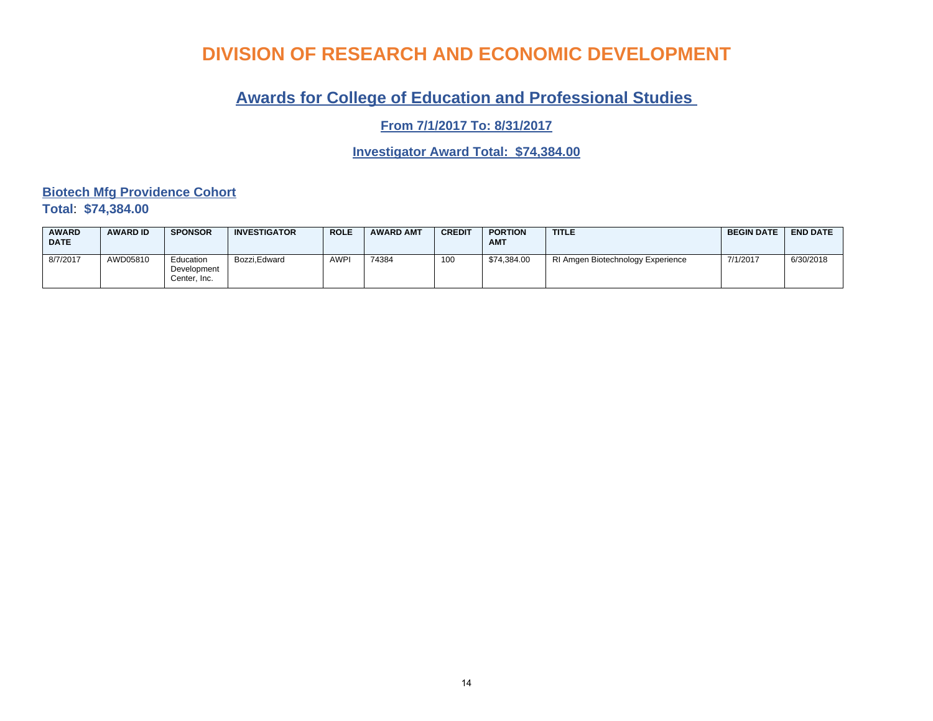## **Awards for College of Education and Professional Studies**

**From 7/1/2017 To: 8/31/2017**

**Investigator Award Total: \$74,384.00**

**Biotech Mfg Providence Cohort Total**: **\$74,384.00**

| <b>AWARD</b><br><b>DATE</b> | <b>AWARD ID</b> | <b>SPONSOR</b>                           | <b>INVESTIGATOR</b> | <b>ROLE</b> | <b>AWARD AMT</b> | <b>CREDIT</b> | <b>PORTION</b><br><b>AMT</b> | <b>TITLE</b>                      | <b>BEGIN DATE</b> | <b>END DATE</b> |
|-----------------------------|-----------------|------------------------------------------|---------------------|-------------|------------------|---------------|------------------------------|-----------------------------------|-------------------|-----------------|
| 8/7/2017                    | AWD05810        | Education<br>Development<br>Center. Inc. | Bozzi.Edward        | AWP'        | 74384            | 100           | \$74.384.00                  | RI Amgen Biotechnology Experience | 7/1/2017          | 6/30/2018       |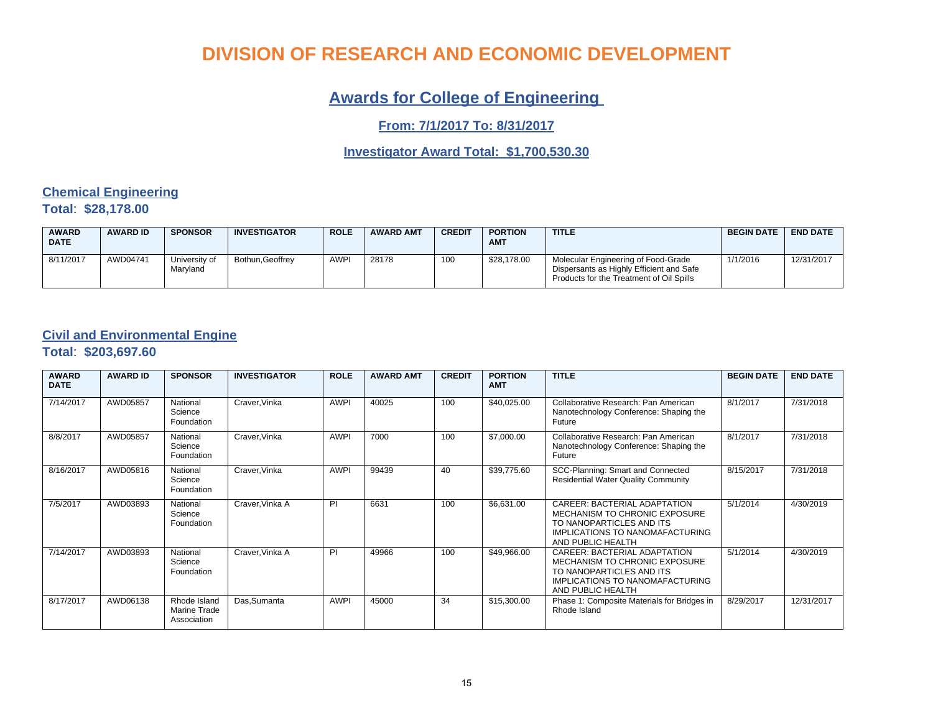## **Awards for College of Engineering**

**From: 7/1/2017 To: 8/31/2017**

### **Investigator Award Total: \$1,700,530.30**

### **Chemical Engineering Total**: **\$28,178.00**

| <b>AWARD</b><br><b>DATE</b> | <b>AWARD ID</b> | <b>SPONSOR</b>            | <b>INVESTIGATOR</b> | <b>ROLE</b> | <b>AWARD AMT</b> | <b>CREDIT</b> | <b>PORTION</b><br><b>AMT</b> | <b>TITLE</b>                                                                                                                | <b>BEGIN DATE</b> | <b>END DATE</b> |
|-----------------------------|-----------------|---------------------------|---------------------|-------------|------------------|---------------|------------------------------|-----------------------------------------------------------------------------------------------------------------------------|-------------------|-----------------|
| 8/11/2017                   | AWD04741        | University of<br>Marvland | Bothun, Geoffrey    | <b>AWPI</b> | 28178            | 100           | \$28,178.00                  | Molecular Engineering of Food-Grade<br>Dispersants as Highly Efficient and Safe<br>Products for the Treatment of Oil Spills | 1/1/2016          | 12/31/2017      |

### **Civil and Environmental Engine**

**Total**: **\$203,697.60**

| <b>AWARD</b><br><b>DATE</b> | <b>AWARD ID</b> | <b>SPONSOR</b>                              | <b>INVESTIGATOR</b> | <b>ROLE</b> | <b>AWARD AMT</b> | <b>CREDIT</b> | <b>PORTION</b><br><b>AMT</b> | <b>TITLE</b>                                                                                                                                             | <b>BEGIN DATE</b> | <b>END DATE</b> |
|-----------------------------|-----------------|---------------------------------------------|---------------------|-------------|------------------|---------------|------------------------------|----------------------------------------------------------------------------------------------------------------------------------------------------------|-------------------|-----------------|
| 7/14/2017                   | AWD05857        | National<br>Science<br>Foundation           | Craver, Vinka       | <b>AWPI</b> | 40025            | 100           | \$40,025.00                  | Collaborative Research: Pan American<br>Nanotechnology Conference: Shaping the<br>Future                                                                 | 8/1/2017          | 7/31/2018       |
| 8/8/2017                    | AWD05857        | National<br>Science<br>Foundation           | Craver, Vinka       | <b>AWPI</b> | 7000             | 100           | \$7,000.00                   | Collaborative Research: Pan American<br>Nanotechnology Conference: Shaping the<br>Future                                                                 | 8/1/2017          | 7/31/2018       |
| 8/16/2017                   | AWD05816        | National<br>Science<br>Foundation           | Craver, Vinka       | <b>AWPI</b> | 99439            | 40            | \$39,775.60                  | SCC-Planning: Smart and Connected<br><b>Residential Water Quality Community</b>                                                                          | 8/15/2017         | 7/31/2018       |
| 7/5/2017                    | AWD03893        | National<br>Science<br>Foundation           | Craver, Vinka A     | PI          | 6631             | 100           | \$6,631.00                   | CAREER: BACTERIAL ADAPTATION<br>MECHANISM TO CHRONIC EXPOSURE<br>TO NANOPARTICLES AND ITS<br><b>IMPLICATIONS TO NANOMAFACTURING</b><br>AND PUBLIC HEALTH | 5/1/2014          | 4/30/2019       |
| 7/14/2017                   | AWD03893        | National<br>Science<br>Foundation           | Craver, Vinka A     | PI          | 49966            | 100           | \$49,966.00                  | CAREER: BACTERIAL ADAPTATION<br>MECHANISM TO CHRONIC EXPOSURE<br>TO NANOPARTICLES AND ITS<br><b>IMPLICATIONS TO NANOMAFACTURING</b><br>AND PUBLIC HEALTH | 5/1/2014          | 4/30/2019       |
| 8/17/2017                   | AWD06138        | Rhode Island<br>Marine Trade<br>Association | Das, Sumanta        | <b>AWPI</b> | 45000            | 34            | \$15,300.00                  | Phase 1: Composite Materials for Bridges in<br>Rhode Island                                                                                              | 8/29/2017         | 12/31/2017      |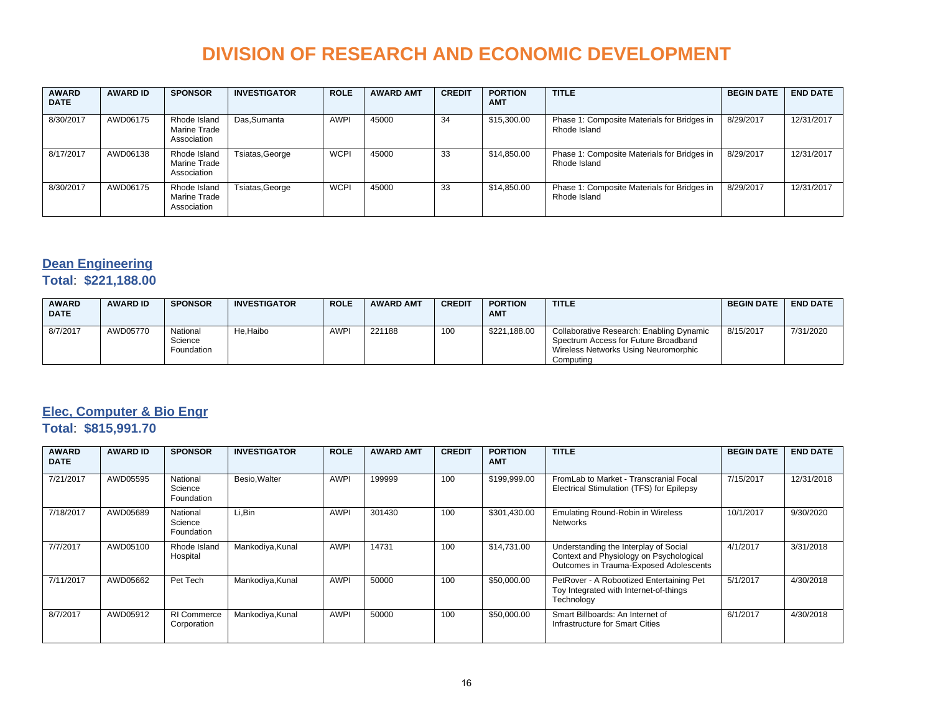| <b>AWARD</b><br><b>DATE</b> | <b>AWARD ID</b> | <b>SPONSOR</b>                              | <b>INVESTIGATOR</b> | <b>ROLE</b> | <b>AWARD AMT</b> | <b>CREDIT</b> | <b>PORTION</b><br><b>AMT</b> | <b>TITLE</b>                                                | <b>BEGIN DATE</b> | <b>END DATE</b> |
|-----------------------------|-----------------|---------------------------------------------|---------------------|-------------|------------------|---------------|------------------------------|-------------------------------------------------------------|-------------------|-----------------|
| 8/30/2017                   | AWD06175        | Rhode Island<br>Marine Trade<br>Association | Das, Sumanta        | <b>AWPI</b> | 45000            | 34            | \$15,300.00                  | Phase 1: Composite Materials for Bridges in<br>Rhode Island | 8/29/2017         | 12/31/2017      |
| 8/17/2017                   | AWD06138        | Rhode Island<br>Marine Trade<br>Association | Tsiatas, George     | <b>WCPI</b> | 45000            | 33            | \$14,850.00                  | Phase 1: Composite Materials for Bridges in<br>Rhode Island | 8/29/2017         | 12/31/2017      |
| 8/30/2017                   | AWD06175        | Rhode Island<br>Marine Trade<br>Association | Tsiatas, George     | <b>WCPI</b> | 45000            | 33            | \$14,850.00                  | Phase 1: Composite Materials for Bridges in<br>Rhode Island | 8/29/2017         | 12/31/2017      |

### **Dean Engineering**

#### **Total**: **\$221,188.00**

| <b>AWARD</b><br><b>DATE</b> | <b>AWARD ID</b> | <b>SPONSOR</b>                    | <b>INVESTIGATOR</b> | <b>ROLE</b> | <b>AWARD AMT</b> | <b>CREDIT</b> | <b>PORTION</b><br><b>AMT</b> | <b>TITLE</b>                                                                                                                          | <b>BEGIN DATE</b> | <b>END DATE</b> |
|-----------------------------|-----------------|-----------------------------------|---------------------|-------------|------------------|---------------|------------------------------|---------------------------------------------------------------------------------------------------------------------------------------|-------------------|-----------------|
| 8/7/2017                    | AWD05770        | National<br>Science<br>Foundation | He.Haibo            | <b>AWPI</b> | 221188           | 100           | \$221,188.00                 | Collaborative Research: Enabling Dynamic<br>Spectrum Access for Future Broadband<br>Wireless Networks Using Neuromorphic<br>Computing | 8/15/2017         | 7/31/2020       |

### **Elec, Computer & Bio Engr**

### **Total**: **\$815,991.70**

| <b>AWARD</b><br><b>DATE</b> | <b>AWARD ID</b> | <b>SPONSOR</b>                    | <b>INVESTIGATOR</b> | <b>ROLE</b> | <b>AWARD AMT</b> | <b>CREDIT</b> | <b>PORTION</b><br><b>AMT</b> | <b>TITLE</b>                                                                                                               | <b>BEGIN DATE</b> | <b>END DATE</b> |
|-----------------------------|-----------------|-----------------------------------|---------------------|-------------|------------------|---------------|------------------------------|----------------------------------------------------------------------------------------------------------------------------|-------------------|-----------------|
| 7/21/2017                   | AWD05595        | National<br>Science<br>Foundation | Besio.Walter        | <b>AWPI</b> | 199999           | 100           | \$199,999.00                 | From Lab to Market - Transcranial Focal<br>Electrical Stimulation (TFS) for Epilepsy                                       | 7/15/2017         | 12/31/2018      |
| 7/18/2017                   | AWD05689        | National<br>Science<br>Foundation | Li.Bin              | <b>AWPI</b> | 301430           | 100           | \$301.430.00                 | <b>Emulating Round-Robin in Wireless</b><br>Networks                                                                       | 10/1/2017         | 9/30/2020       |
| 7/7/2017                    | AWD05100        | Rhode Island<br>Hospital          | Mankodiya, Kunal    | <b>AWPI</b> | 14731            | 100           | \$14,731.00                  | Understanding the Interplay of Social<br>Context and Physiology on Psychological<br>Outcomes in Trauma-Exposed Adolescents | 4/1/2017          | 3/31/2018       |
| 7/11/2017                   | AWD05662        | Pet Tech                          | Mankodiya, Kunal    | <b>AWPI</b> | 50000            | 100           | \$50,000.00                  | PetRover - A Robootized Entertaining Pet<br>Toy Integrated with Internet-of-things<br>Technology                           | 5/1/2017          | 4/30/2018       |
| 8/7/2017                    | AWD05912        | <b>RI Commerce</b><br>Corporation | Mankodiya, Kunal    | <b>AWPI</b> | 50000            | 100           | \$50,000.00                  | Smart Billboards: An Internet of<br>Infrastructure for Smart Cities                                                        | 6/1/2017          | 4/30/2018       |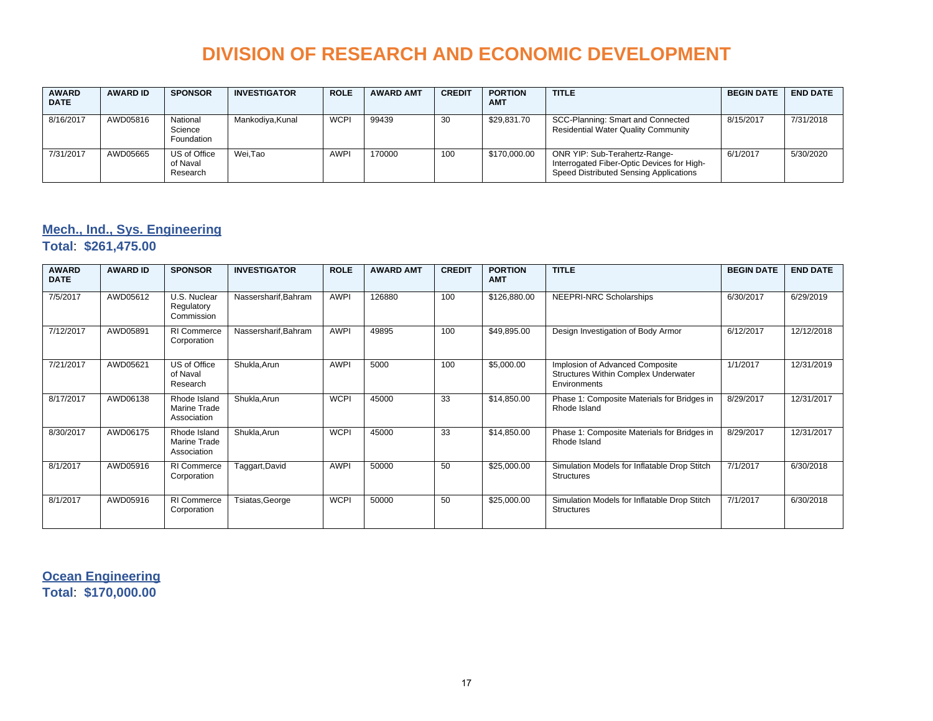| <b>AWARD</b><br><b>DATE</b> | <b>AWARD ID</b> | <b>SPONSOR</b>                       | <b>INVESTIGATOR</b> | <b>ROLE</b> | <b>AWARD AMT</b> | <b>CREDIT</b> | <b>PORTION</b><br><b>AMT</b> | <b>TITLE</b>                                                                                                          | <b>BEGIN DATE</b> | <b>END DATE</b> |
|-----------------------------|-----------------|--------------------------------------|---------------------|-------------|------------------|---------------|------------------------------|-----------------------------------------------------------------------------------------------------------------------|-------------------|-----------------|
| 8/16/2017                   | AWD05816        | National<br>Science<br>Foundation    | Mankodiya, Kunal    | <b>WCPI</b> | 99439            | 30            | \$29,831.70                  | SCC-Planning: Smart and Connected<br><b>Residential Water Quality Community</b>                                       | 8/15/2017         | 7/31/2018       |
| 7/31/2017                   | AWD05665        | US of Office<br>of Naval<br>Research | Wei.Tao             | <b>AWPI</b> | 170000           | 100           | \$170,000.00                 | ONR YIP: Sub-Terahertz-Range-<br>Interrogated Fiber-Optic Devices for High-<br>Speed Distributed Sensing Applications | 6/1/2017          | 5/30/2020       |

### **Mech., Ind., Sys. Engineering**

**Total**: **\$261,475.00**

| <b>AWARD</b><br><b>DATE</b> | <b>AWARD ID</b> | <b>SPONSOR</b>                                     | <b>INVESTIGATOR</b>  | <b>ROLE</b> | <b>AWARD AMT</b> | <b>CREDIT</b> | <b>PORTION</b><br><b>AMT</b> | <b>TITLE</b>                                                                            | <b>BEGIN DATE</b> | <b>END DATE</b> |
|-----------------------------|-----------------|----------------------------------------------------|----------------------|-------------|------------------|---------------|------------------------------|-----------------------------------------------------------------------------------------|-------------------|-----------------|
| 7/5/2017                    | AWD05612        | U.S. Nuclear<br>Regulatory<br>Commission           | Nassersharif, Bahram | <b>AWPI</b> | 126880           | 100           | \$126,880.00                 | NEEPRI-NRC Scholarships                                                                 | 6/30/2017         | 6/29/2019       |
| 7/12/2017                   | AWD05891        | RI Commerce<br>Corporation                         | Nassersharif, Bahram | <b>AWPI</b> | 49895            | 100           | \$49,895.00                  | Design Investigation of Body Armor                                                      | 6/12/2017         | 12/12/2018      |
| 7/21/2017                   | AWD05621        | US of Office<br>of Naval<br>Research               | Shukla, Arun         | <b>AWPI</b> | 5000             | 100           | \$5,000.00                   | Implosion of Advanced Composite<br>Structures Within Complex Underwater<br>Environments | 1/1/2017          | 12/31/2019      |
| 8/17/2017                   | AWD06138        | Rhode Island<br>Marine Trade<br>Association        | Shukla, Arun         | <b>WCPI</b> | 45000            | 33            | \$14,850.00                  | Phase 1: Composite Materials for Bridges in<br>Rhode Island                             | 8/29/2017         | 12/31/2017      |
| 8/30/2017                   | AWD06175        | Rhode Island<br><b>Marine Trade</b><br>Association | Shukla, Arun         | <b>WCPI</b> | 45000            | 33            | \$14,850.00                  | Phase 1: Composite Materials for Bridges in<br>Rhode Island                             | 8/29/2017         | 12/31/2017      |
| 8/1/2017                    | AWD05916        | RI Commerce<br>Corporation                         | Taggart, David       | <b>AWPI</b> | 50000            | 50            | \$25,000.00                  | Simulation Models for Inflatable Drop Stitch<br><b>Structures</b>                       | 7/1/2017          | 6/30/2018       |
| 8/1/2017                    | AWD05916        | <b>RI</b> Commerce<br>Corporation                  | Tsiatas, George      | <b>WCPI</b> | 50000            | 50            | \$25,000.00                  | Simulation Models for Inflatable Drop Stitch<br><b>Structures</b>                       | 7/1/2017          | 6/30/2018       |

**Ocean Engineering Total**: **\$170,000.00**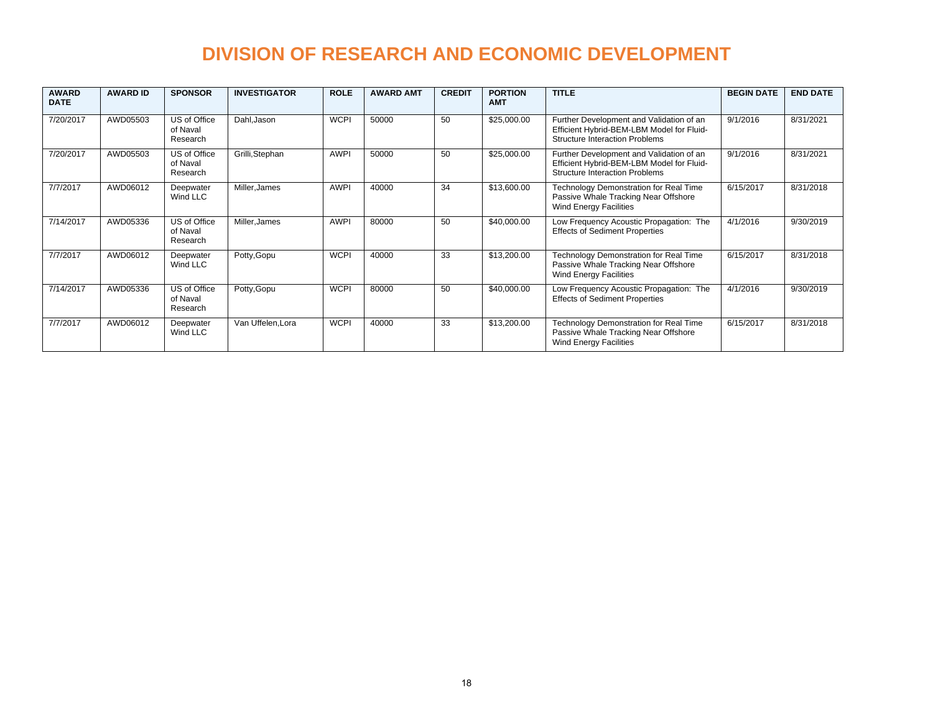| <b>AWARD</b><br><b>DATE</b> | <b>AWARD ID</b> | <b>SPONSOR</b>                       | <b>INVESTIGATOR</b> | <b>ROLE</b> | <b>AWARD AMT</b> | <b>CREDIT</b> | <b>PORTION</b><br><b>AMT</b> | <b>TITLE</b>                                                                                                                   | <b>BEGIN DATE</b> | <b>END DATE</b> |
|-----------------------------|-----------------|--------------------------------------|---------------------|-------------|------------------|---------------|------------------------------|--------------------------------------------------------------------------------------------------------------------------------|-------------------|-----------------|
| 7/20/2017                   | AWD05503        | US of Office<br>of Naval<br>Research | Dahl.Jason          | <b>WCPI</b> | 50000            | 50            | \$25,000.00                  | Further Development and Validation of an<br>Efficient Hybrid-BEM-LBM Model for Fluid-<br><b>Structure Interaction Problems</b> | 9/1/2016          | 8/31/2021       |
| 7/20/2017                   | AWD05503        | US of Office<br>of Naval<br>Research | Grilli, Stephan     | <b>AWPI</b> | 50000            | 50            | \$25,000.00                  | Further Development and Validation of an<br>Efficient Hybrid-BEM-LBM Model for Fluid-<br><b>Structure Interaction Problems</b> | 9/1/2016          | 8/31/2021       |
| 7/7/2017                    | AWD06012        | Deepwater<br>Wind LLC                | Miller, James       | <b>AWPI</b> | 40000            | 34            | \$13,600.00                  | Technology Demonstration for Real Time<br>Passive Whale Tracking Near Offshore<br><b>Wind Energy Facilities</b>                | 6/15/2017         | 8/31/2018       |
| 7/14/2017                   | AWD05336        | US of Office<br>of Naval<br>Research | Miller, James       | <b>AWPI</b> | 80000            | 50            | \$40,000.00                  | Low Frequency Acoustic Propagation: The<br><b>Effects of Sediment Properties</b>                                               | 4/1/2016          | 9/30/2019       |
| 7/7/2017                    | AWD06012        | Deepwater<br>Wind LLC                | Potty, Gopu         | <b>WCPI</b> | 40000            | 33            | \$13,200.00                  | Technology Demonstration for Real Time<br>Passive Whale Tracking Near Offshore<br>Wind Energy Facilities                       | 6/15/2017         | 8/31/2018       |
| 7/14/2017                   | AWD05336        | US of Office<br>of Naval<br>Research | Potty, Gopu         | <b>WCPI</b> | 80000            | 50            | \$40,000.00                  | Low Frequency Acoustic Propagation: The<br><b>Effects of Sediment Properties</b>                                               | 4/1/2016          | 9/30/2019       |
| 7/7/2017                    | AWD06012        | Deepwater<br>Wind LLC                | Van Uffelen, Lora   | <b>WCPI</b> | 40000            | 33            | \$13,200.00                  | Technology Demonstration for Real Time<br>Passive Whale Tracking Near Offshore<br>Wind Energy Facilities                       | 6/15/2017         | 8/31/2018       |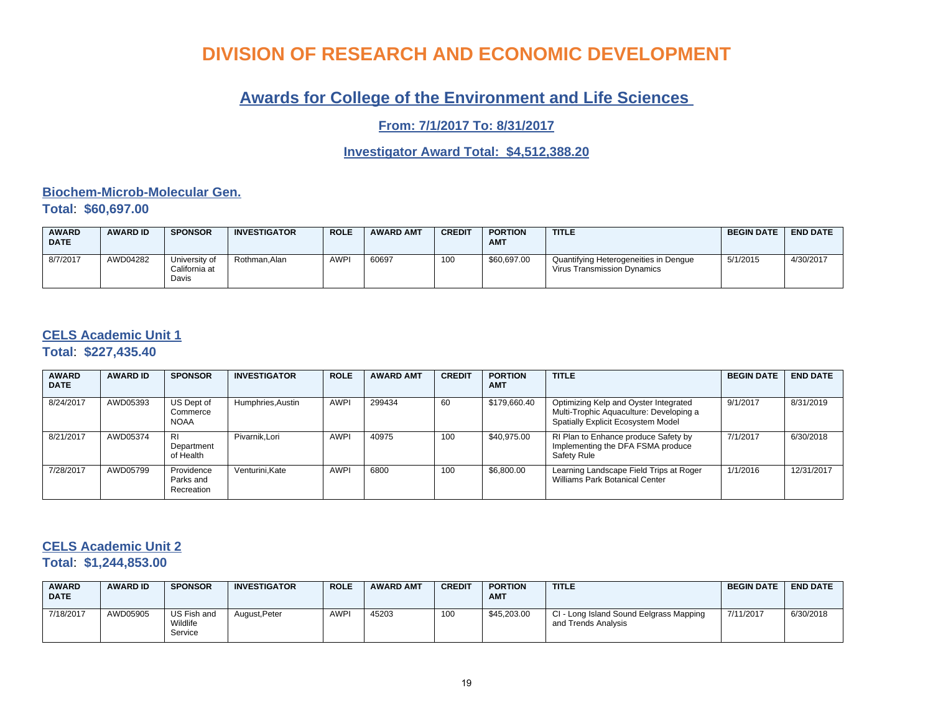### **Awards for College of the Environment and Life Sciences**

**From: 7/1/2017 To: 8/31/2017**

### **Investigator Award Total: \$4,512,388.20**

#### **Biochem-Microb-Molecular Gen. Total**: **\$60,697.00**

| <b>AWARD</b><br><b>DATE</b> | <b>AWARD ID</b> | <b>SPONSOR</b>                          | <b>INVESTIGATOR</b> | <b>ROLE</b> | <b>AWARD AMT</b> | <b>CREDIT</b> | <b>PORTION</b><br><b>AMT</b> | <b>TITLE</b>                                                         | <b>BEGIN DATE</b> | <b>END DATE</b> |
|-----------------------------|-----------------|-----------------------------------------|---------------------|-------------|------------------|---------------|------------------------------|----------------------------------------------------------------------|-------------------|-----------------|
| 8/7/2017                    | AWD04282        | University of<br>California at<br>Davis | Rothman.Alan        | <b>AWPI</b> | 60697            | 100           | \$60,697.00                  | Quantifying Heterogeneities in Dengue<br>Virus Transmission Dynamics | 5/1/2015          | 4/30/2017       |

### **CELS Academic Unit 1**

**Total**: **\$227,435.40**

| <b>AWARD</b><br><b>DATE</b> | <b>AWARD ID</b> | <b>SPONSOR</b>                        | <b>INVESTIGATOR</b> | <b>ROLE</b> | <b>AWARD AMT</b> | <b>CREDIT</b> | <b>PORTION</b><br><b>AMT</b> | <b>TITLE</b>                                                                                                           | <b>BEGIN DATE</b> | <b>END DATE</b> |
|-----------------------------|-----------------|---------------------------------------|---------------------|-------------|------------------|---------------|------------------------------|------------------------------------------------------------------------------------------------------------------------|-------------------|-----------------|
| 8/24/2017                   | AWD05393        | US Dept of<br>Commerce<br><b>NOAA</b> | Humphries, Austin   | <b>AWPI</b> | 299434           | 60            | \$179,660.40                 | Optimizing Kelp and Oyster Integrated<br>Multi-Trophic Aquaculture: Developing a<br>Spatially Explicit Ecosystem Model | 9/1/2017          | 8/31/2019       |
| 8/21/2017                   | AWD05374        | <b>RI</b><br>Department<br>of Health  | Pivarnik.Lori       | <b>AWPI</b> | 40975            | 100           | \$40,975.00                  | RI Plan to Enhance produce Safety by<br>Implementing the DFA FSMA produce<br>Safety Rule                               | 7/1/2017          | 6/30/2018       |
| 7/28/2017                   | AWD05799        | Providence<br>Parks and<br>Recreation | Venturini.Kate      | <b>AWPI</b> | 6800             | 100           | \$6,800.00                   | Learning Landscape Field Trips at Roger<br>Williams Park Botanical Center                                              | 1/1/2016          | 12/31/2017      |

### **CELS Academic Unit 2**

**Total**: **\$1,244,853.00**

| <b>AWARD</b><br><b>DATE</b> | <b>AWARD ID</b> | <b>SPONSOR</b>                     | <b>INVESTIGATOR</b> | <b>ROLE</b> | <b>AWARD AMT</b> | <b>CREDIT</b> | <b>PORTION</b><br><b>AMT</b> | <b>TITLE</b>                                                   | <b>BEGIN DATE</b> | <b>END DATE</b> |
|-----------------------------|-----------------|------------------------------------|---------------------|-------------|------------------|---------------|------------------------------|----------------------------------------------------------------|-------------------|-----------------|
| 7/18/2017                   | AWD05905        | US Fish and<br>Wildlife<br>Service | August, Peter       | <b>AWPI</b> | 45203            | 100           | \$45,203.00                  | CI - Long Island Sound Eelgrass Mapping<br>and Trends Analysis | 7/11/2017         | 6/30/2018       |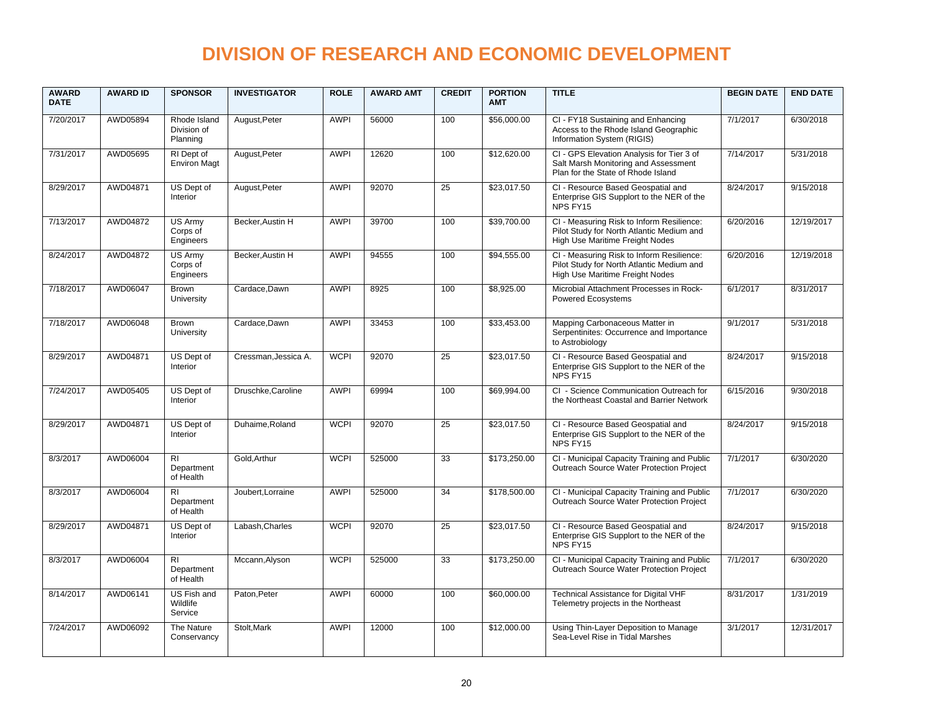| <b>AWARD</b><br><b>DATE</b> | <b>AWARD ID</b> | <b>SPONSOR</b>                            | <b>INVESTIGATOR</b>  | <b>ROLE</b> | <b>AWARD AMT</b> | <b>CREDIT</b>   | <b>PORTION</b><br><b>AMT</b> | <b>TITLE</b>                                                                                                              | <b>BEGIN DATE</b> | <b>END DATE</b> |
|-----------------------------|-----------------|-------------------------------------------|----------------------|-------------|------------------|-----------------|------------------------------|---------------------------------------------------------------------------------------------------------------------------|-------------------|-----------------|
| 7/20/2017                   | AWD05894        | Rhode Island<br>Division of<br>Planning   | August, Peter        | <b>AWPI</b> | 56000            | 100             | \$56,000.00                  | CI - FY18 Sustaining and Enhancing<br>Access to the Rhode Island Geographic<br>Information System (RIGIS)                 | 7/1/2017          | 6/30/2018       |
| 7/31/2017                   | AWD05695        | RI Dept of<br><b>Environ Magt</b>         | August, Peter        | <b>AWPI</b> | 12620            | 100             | \$12,620.00                  | CI - GPS Elevation Analysis for Tier 3 of<br>Salt Marsh Monitoring and Assessment<br>Plan for the State of Rhode Island   | 7/14/2017         | 5/31/2018       |
| 8/29/2017                   | AWD04871        | US Dept of<br>Interior                    | August, Peter        | <b>AWPI</b> | 92070            | 25              | \$23,017.50                  | CI - Resource Based Geospatial and<br>Enterprise GIS Supplort to the NER of the<br>NPS FY15                               | 8/24/2017         | 9/15/2018       |
| 7/13/2017                   | AWD04872        | <b>US Armv</b><br>Corps of<br>Engineers   | Becker.Austin H      | <b>AWPI</b> | 39700            | 100             | \$39,700.00                  | CI - Measuring Risk to Inform Resilience:<br>Pilot Study for North Atlantic Medium and<br>High Use Maritime Freight Nodes | 6/20/2016         | 12/19/2017      |
| 8/24/2017                   | AWD04872        | <b>US Army</b><br>Corps of<br>Engineers   | Becker, Austin H     | <b>AWPI</b> | 94555            | 100             | \$94,555.00                  | CI - Measuring Risk to Inform Resilience:<br>Pilot Study for North Atlantic Medium and<br>High Use Maritime Freight Nodes | 6/20/2016         | 12/19/2018      |
| 7/18/2017                   | AWD06047        | Brown<br>University                       | Cardace, Dawn        | <b>AWPI</b> | 8925             | 100             | \$8,925.00                   | Microbial Attachment Processes in Rock-<br>Powered Ecosystems                                                             | 6/1/2017          | 8/31/2017       |
| 7/18/2017                   | AWD06048        | Brown<br>University                       | Cardace, Dawn        | <b>AWPI</b> | 33453            | 100             | \$33,453.00                  | Mapping Carbonaceous Matter in<br>Serpentinites: Occurrence and Importance<br>to Astrobiology                             | 9/1/2017          | 5/31/2018       |
| 8/29/2017                   | AWD04871        | US Dept of<br>Interior                    | Cressman, Jessica A. | <b>WCPI</b> | 92070            | $\overline{25}$ | \$23,017.50                  | CI - Resource Based Geospatial and<br>Enterprise GIS Supplort to the NER of the<br>NPS FY15                               | 8/24/2017         | 9/15/2018       |
| 7/24/2017                   | AWD05405        | US Dept of<br>Interior                    | Druschke, Caroline   | <b>AWPI</b> | 69994            | 100             | \$69,994.00                  | CI - Science Communication Outreach for<br>the Northeast Coastal and Barrier Network                                      | 6/15/2016         | 9/30/2018       |
| 8/29/2017                   | AWD04871        | US Dept of<br>Interior                    | Duhaime, Roland      | <b>WCPI</b> | 92070            | 25              | \$23,017.50                  | CI - Resource Based Geospatial and<br>Enterprise GIS Supplort to the NER of the<br>NPS FY15                               | 8/24/2017         | 9/15/2018       |
| 8/3/2017                    | AWD06004        | <b>RI</b><br>Department<br>of Health      | Gold, Arthur         | <b>WCPI</b> | 525000           | 33              | \$173,250.00                 | CI - Municipal Capacity Training and Public<br>Outreach Source Water Protection Project                                   | 7/1/2017          | 6/30/2020       |
| 8/3/2017                    | AWD06004        | <b>RI</b><br>Department<br>of Health      | Joubert, Lorraine    | <b>AWPI</b> | 525000           | $\overline{34}$ | \$178,500.00                 | CI - Municipal Capacity Training and Public<br>Outreach Source Water Protection Project                                   | 7/1/2017          | 6/30/2020       |
| 8/29/2017                   | AWD04871        | US Dept of<br>Interior                    | Labash, Charles      | <b>WCPI</b> | 92070            | $\overline{25}$ | \$23,017.50                  | CI - Resource Based Geospatial and<br>Enterprise GIS Supplort to the NER of the<br>NPS FY15                               | 8/24/2017         | 9/15/2018       |
| 8/3/2017                    | AWD06004        | R <sub>l</sub><br>Department<br>of Health | Mccann, Alyson       | <b>WCPI</b> | 525000           | 33              | \$173,250.00                 | CI - Municipal Capacity Training and Public<br>Outreach Source Water Protection Project                                   | 7/1/2017          | 6/30/2020       |
| 8/14/2017                   | AWD06141        | <b>US Fish and</b><br>Wildlife<br>Service | Paton, Peter         | <b>AWPI</b> | 60000            | 100             | \$60,000.00                  | <b>Technical Assistance for Digital VHF</b><br>Telemetry projects in the Northeast                                        | 8/31/2017         | 1/31/2019       |
| 7/24/2017                   | AWD06092        | The Nature<br>Conservancy                 | Stolt, Mark          | <b>AWPI</b> | 12000            | 100             | \$12,000.00                  | Using Thin-Layer Deposition to Manage<br>Sea-Level Rise in Tidal Marshes                                                  | 3/1/2017          | 12/31/2017      |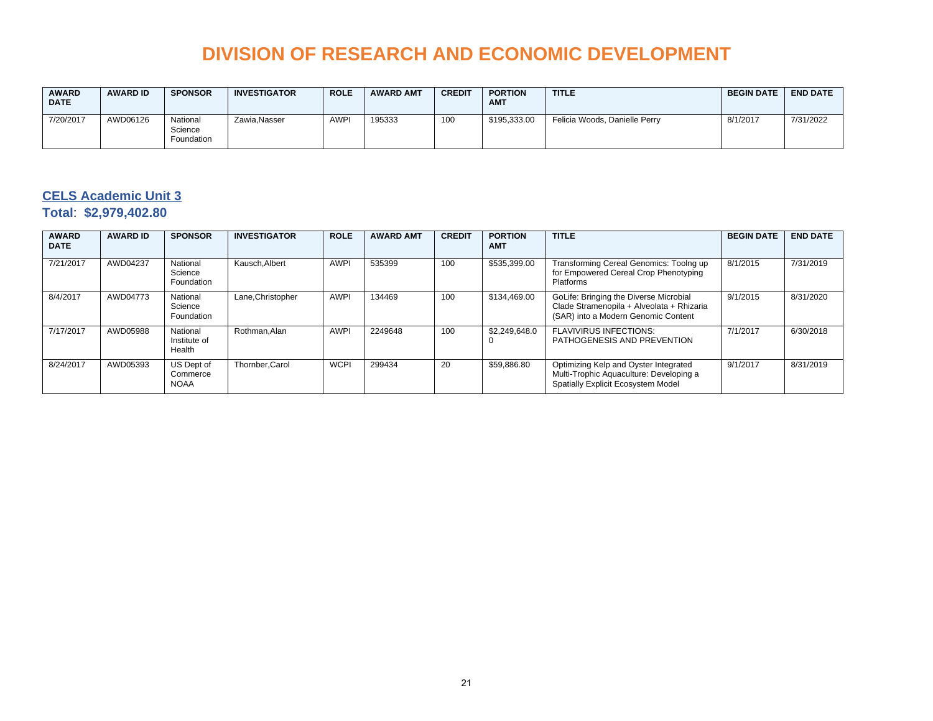| <b>AWARD</b><br><b>DATE</b> | <b>AWARD ID</b> | <b>SPONSOR</b>                    | <b>INVESTIGATOR</b> | <b>ROLE</b> | <b>AWARD AMT</b> | <b>CREDIT</b> | <b>PORTION</b><br><b>AMT</b> | <b>TITLE</b>                  | <b>BEGIN DATE</b> | <b>END DATE</b> |
|-----------------------------|-----------------|-----------------------------------|---------------------|-------------|------------------|---------------|------------------------------|-------------------------------|-------------------|-----------------|
| 7/20/2017                   | AWD06126        | National<br>Science<br>Foundation | Zawia, Nasser       | <b>AWPI</b> | 195333           | 100           | \$195.333.00                 | Felicia Woods, Danielle Perry | 8/1/2017          | 7/31/2022       |

### **CELS Academic Unit 3 Total**: **\$2,979,402.80**

| <b>AWARD</b><br><b>DATE</b> | <b>AWARD ID</b> | <b>SPONSOR</b>                        | <b>INVESTIGATOR</b> | <b>ROLE</b> | <b>AWARD AMT</b> | <b>CREDIT</b> | <b>PORTION</b><br><b>AMT</b> | <b>TITLE</b>                                                                                                               | <b>BEGIN DATE</b> | <b>END DATE</b> |
|-----------------------------|-----------------|---------------------------------------|---------------------|-------------|------------------|---------------|------------------------------|----------------------------------------------------------------------------------------------------------------------------|-------------------|-----------------|
| 7/21/2017                   | AWD04237        | National<br>Science<br>Foundation     | Kausch.Albert       | <b>AWPI</b> | 535399           | 100           | \$535,399.00                 | Transforming Cereal Genomics: Toolng up<br>for Empowered Cereal Crop Phenotyping<br>Platforms                              | 8/1/2015          | 7/31/2019       |
| 8/4/2017                    | AWD04773        | National<br>Science<br>Foundation     | Lane, Christopher   | <b>AWPI</b> | 134469           | 100           | \$134,469.00                 | GoLife: Bringing the Diverse Microbial<br>Clade Stramenopila + Alveolata + Rhizaria<br>(SAR) into a Modern Genomic Content | 9/1/2015          | 8/31/2020       |
| 7/17/2017                   | AWD05988        | National<br>Institute of<br>Health    | Rothman.Alan        | <b>AWPI</b> | 2249648          | 100           | \$2,249,648.0                | <b>FLAVIVIRUS INFECTIONS:</b><br>PATHOGENESIS AND PREVENTION                                                               | 7/1/2017          | 6/30/2018       |
| 8/24/2017                   | AWD05393        | US Dept of<br>Commerce<br><b>NOAA</b> | Thornber.Carol      | <b>WCPI</b> | 299434           | 20            | \$59,886.80                  | Optimizing Kelp and Oyster Integrated<br>Multi-Trophic Aquaculture: Developing a<br>Spatially Explicit Ecosystem Model     | 9/1/2017          | 8/31/2019       |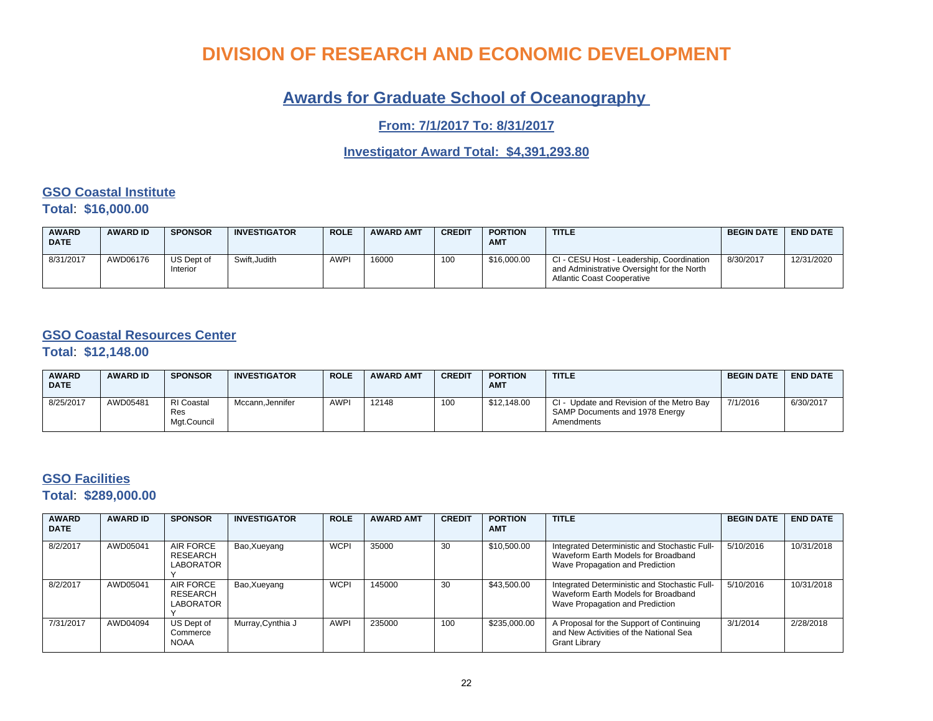### **Awards for Graduate School of Oceanography**

**From: 7/1/2017 To: 8/31/2017**

**Investigator Award Total: \$4,391,293.80**

### **GSO Coastal Institute**

**Total**: **\$16,000.00**

| <b>AWARD</b><br><b>DATE</b> | <b>AWARD ID</b> | <b>SPONSOR</b>         | <b>INVESTIGATOR</b> | <b>ROLE</b> | <b>AWARD AMT</b> | <b>CREDIT</b> | <b>PORTION</b><br><b>AMT</b> | <b>TITLE</b>                                                                                                                 | <b>BEGIN DATE</b> | <b>END DATE</b> |
|-----------------------------|-----------------|------------------------|---------------------|-------------|------------------|---------------|------------------------------|------------------------------------------------------------------------------------------------------------------------------|-------------------|-----------------|
| 8/31/2017                   | AWD06176        | US Dept of<br>Interior | Swift.Judith        | <b>AWPI</b> | 16000            | 100           | \$16,000.00                  | CI - CESU Host - Leadership, Coordination<br>and Administrative Oversight for the North<br><b>Atlantic Coast Cooperative</b> | 8/30/2017         | 12/31/2020      |

### **GSO Coastal Resources Center**

**Total**: **\$12,148.00**

| <b>AWARD</b><br><b>DATE</b> | <b>AWARD ID</b> | <b>SPONSOR</b>                          | <b>INVESTIGATOR</b> | <b>ROLE</b> | <b>AWARD AMT</b> | <b>CREDIT</b> | <b>PORTION</b><br><b>AMT</b> | <b>TITLE</b>                                                                                  | <b>BEGIN DATE</b> | <b>END DATE</b> |
|-----------------------------|-----------------|-----------------------------------------|---------------------|-------------|------------------|---------------|------------------------------|-----------------------------------------------------------------------------------------------|-------------------|-----------------|
| 8/25/2017                   | AWD05481        | <b>RI</b> Coastal<br>Res<br>Mgt.Council | Mccann.Jennifer     | <b>AWPI</b> | 12148            | 100           | \$12,148.00                  | - Update and Revision of the Metro Bay<br>CI-<br>SAMP Documents and 1978 Energy<br>Amendments | 7/1/2016          | 6/30/2017       |

### **GSO Facilities**

**Total**: **\$289,000.00**

| <b>AWARD</b><br><b>DATE</b> | <b>AWARD ID</b> | <b>SPONSOR</b>                            | <b>INVESTIGATOR</b> | <b>ROLE</b> | <b>AWARD AMT</b> | <b>CREDIT</b> | <b>PORTION</b><br><b>AMT</b> | <b>TITLE</b>                                                                                                            | <b>BEGIN DATE</b> | <b>END DATE</b> |
|-----------------------------|-----------------|-------------------------------------------|---------------------|-------------|------------------|---------------|------------------------------|-------------------------------------------------------------------------------------------------------------------------|-------------------|-----------------|
| 8/2/2017                    | AWD05041        | <b>AIR FORCE</b><br>RESEARCH<br>LABORATOR | Bao, Xueyang        | <b>WCPI</b> | 35000            | 30            | \$10,500.00                  | Integrated Deterministic and Stochastic Full-<br>Waveform Earth Models for Broadband<br>Wave Propagation and Prediction | 5/10/2016         | 10/31/2018      |
| 8/2/2017                    | AWD05041        | AIR FORCE<br>RESEARCH<br>LABORATOR        | Bao, Xueyang        | <b>WCPI</b> | 145000           | 30            | \$43,500.00                  | Integrated Deterministic and Stochastic Full-<br>Waveform Earth Models for Broadband<br>Wave Propagation and Prediction | 5/10/2016         | 10/31/2018      |
| 7/31/2017                   | AWD04094        | US Dept of<br>Commerce<br><b>NOAA</b>     | Murray, Cynthia J   | <b>AWPI</b> | 235000           | 100           | \$235,000.00                 | A Proposal for the Support of Continuing<br>and New Activities of the National Sea<br>Grant Library                     | 3/1/2014          | 2/28/2018       |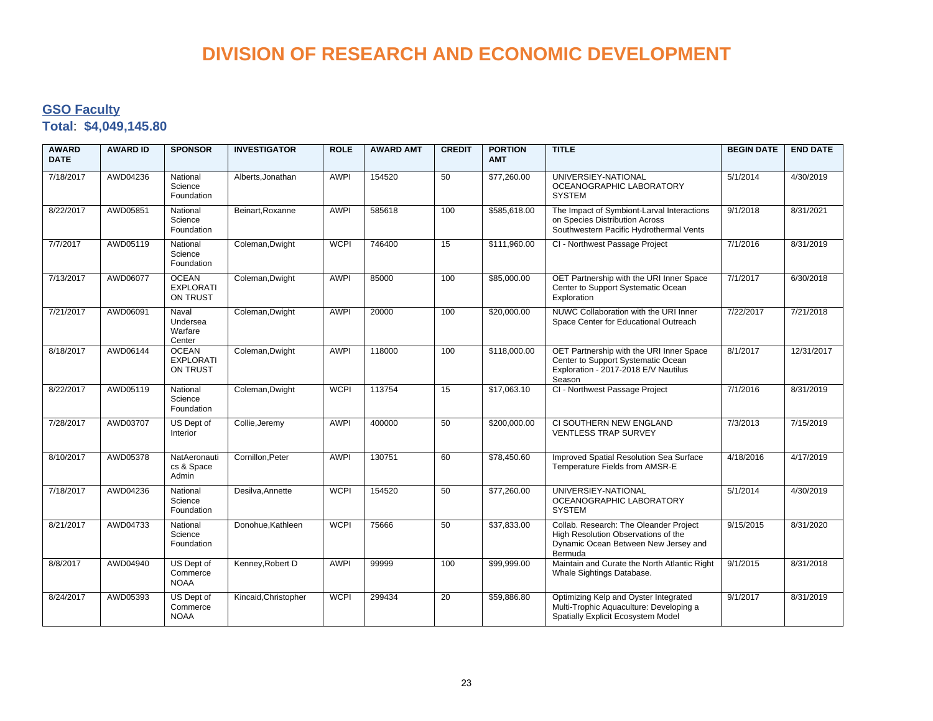### **GSO Faculty Total**: **\$4,049,145.80**

| <b>AWARD</b><br><b>DATE</b> | <b>AWARD ID</b> | <b>SPONSOR</b>                               | <b>INVESTIGATOR</b>  | <b>ROLE</b> | <b>AWARD AMT</b> | <b>CREDIT</b>   | <b>PORTION</b><br><b>AMT</b> | <b>TITLE</b>                                                                                                                     | <b>BEGIN DATE</b> | <b>END DATE</b> |
|-----------------------------|-----------------|----------------------------------------------|----------------------|-------------|------------------|-----------------|------------------------------|----------------------------------------------------------------------------------------------------------------------------------|-------------------|-----------------|
| 7/18/2017                   | AWD04236        | National<br>Science<br>Foundation            | Alberts, Jonathan    | <b>AWPI</b> | 154520           | 50              | \$77,260.00                  | UNIVERSIEY-NATIONAL<br>OCEANOGRAPHIC LABORATORY<br><b>SYSTEM</b>                                                                 | 5/1/2014          | 4/30/2019       |
| 8/22/2017                   | AWD05851        | National<br>Science<br>Foundation            | Beinart.Roxanne      | <b>AWPI</b> | 585618           | 100             | \$585,618.00                 | The Impact of Symbiont-Larval Interactions<br>on Species Distribution Across<br>Southwestern Pacific Hydrothermal Vents          | 9/1/2018          | 8/31/2021       |
| 7/7/2017                    | AWD05119        | National<br>Science<br>Foundation            | Coleman, Dwight      | <b>WCPI</b> | 746400           | 15              | \$111,960.00                 | CI - Northwest Passage Project                                                                                                   | 7/1/2016          | 8/31/2019       |
| 7/13/2017                   | AWD06077        | <b>OCEAN</b><br><b>EXPLORATI</b><br>ON TRUST | Coleman, Dwight      | <b>AWPI</b> | 85000            | 100             | \$85,000.00                  | OET Partnership with the URI Inner Space<br>Center to Support Systematic Ocean<br>Exploration                                    | 7/1/2017          | 6/30/2018       |
| 7/21/2017                   | AWD06091        | Naval<br>Undersea<br>Warfare<br>Center       | Coleman, Dwight      | <b>AWPI</b> | 20000            | 100             | \$20,000.00                  | NUWC Collaboration with the URI Inner<br>Space Center for Educational Outreach                                                   | 7/22/2017         | 7/21/2018       |
| 8/18/2017                   | AWD06144        | <b>OCEAN</b><br><b>EXPLORATI</b><br>ON TRUST | Coleman, Dwight      | <b>AWPI</b> | 118000           | 100             | \$118,000.00                 | OET Partnership with the URI Inner Space<br>Center to Support Systematic Ocean<br>Exploration - 2017-2018 E/V Nautilus<br>Season | 8/1/2017          | 12/31/2017      |
| 8/22/2017                   | AWD05119        | National<br>Science<br>Foundation            | Coleman, Dwight      | <b>WCPI</b> | 113754           | $\overline{15}$ | \$17,063.10                  | CI - Northwest Passage Project                                                                                                   | 7/1/2016          | 8/31/2019       |
| 7/28/2017                   | AWD03707        | US Dept of<br>Interior                       | Collie, Jeremy       | <b>AWPI</b> | 400000           | 50              | \$200,000.00                 | CI SOUTHERN NEW ENGLAND<br><b>VENTLESS TRAP SURVEY</b>                                                                           | 7/3/2013          | 7/15/2019       |
| 8/10/2017                   | AWD05378        | NatAeronauti<br>cs & Space<br>Admin          | Cornillon, Peter     | <b>AWPI</b> | 130751           | 60              | \$78,450.60                  | Improved Spatial Resolution Sea Surface<br>Temperature Fields from AMSR-E                                                        | 4/18/2016         | 4/17/2019       |
| 7/18/2017                   | AWD04236        | National<br>Science<br>Foundation            | Desilva, Annette     | <b>WCPI</b> | 154520           | 50              | \$77,260.00                  | UNIVERSIEY-NATIONAL<br>OCEANOGRAPHIC LABORATORY<br><b>SYSTEM</b>                                                                 | 5/1/2014          | 4/30/2019       |
| 8/21/2017                   | AWD04733        | National<br>Science<br>Foundation            | Donohue, Kathleen    | <b>WCPI</b> | 75666            | 50              | \$37,833.00                  | Collab. Research: The Oleander Project<br>High Resolution Observations of the<br>Dynamic Ocean Between New Jersey and<br>Bermuda | 9/15/2015         | 8/31/2020       |
| 8/8/2017                    | AWD04940        | US Dept of<br>Commerce<br><b>NOAA</b>        | Kenney, Robert D     | <b>AWPI</b> | 99999            | 100             | \$99,999.00                  | Maintain and Curate the North Atlantic Right<br>Whale Sightings Database.                                                        | 9/1/2015          | 8/31/2018       |
| 8/24/2017                   | AWD05393        | US Dept of<br>Commerce<br><b>NOAA</b>        | Kincaid, Christopher | <b>WCPI</b> | 299434           | 20              | \$59,886.80                  | Optimizing Kelp and Oyster Integrated<br>Multi-Trophic Aquaculture: Developing a<br>Spatially Explicit Ecosystem Model           | 9/1/2017          | 8/31/2019       |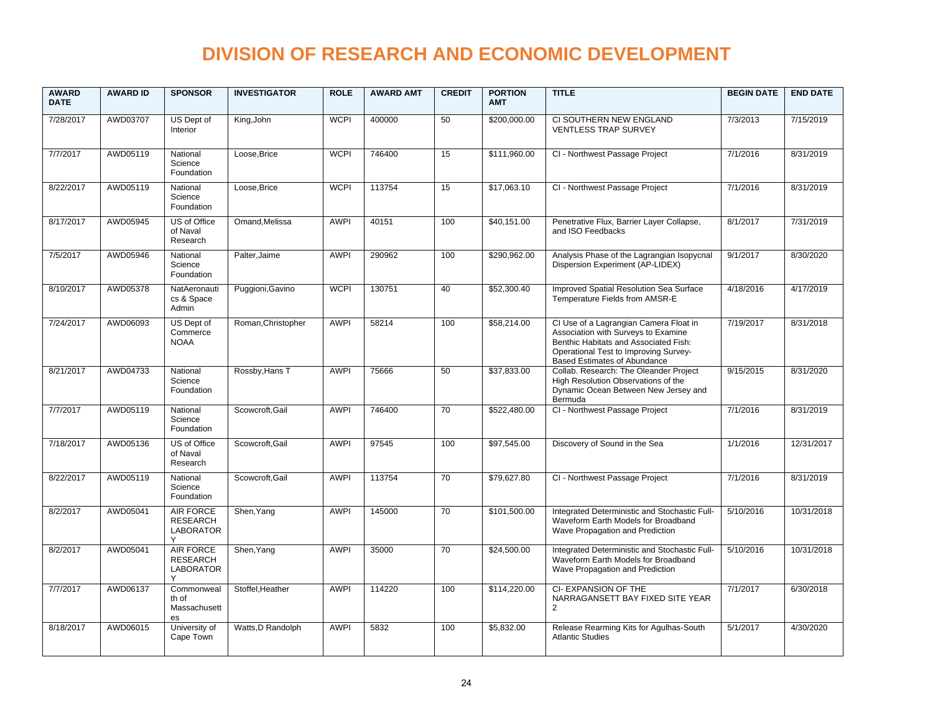| <b>AWARD</b><br><b>DATE</b> | <b>AWARD ID</b> | <b>SPONSOR</b>                                               | <b>INVESTIGATOR</b> | <b>ROLE</b> | <b>AWARD AMT</b> | <b>CREDIT</b>   | <b>PORTION</b><br><b>AMT</b> | <b>TITLE</b>                                                                                                                                                                                           | <b>BEGIN DATE</b> | <b>END DATE</b> |
|-----------------------------|-----------------|--------------------------------------------------------------|---------------------|-------------|------------------|-----------------|------------------------------|--------------------------------------------------------------------------------------------------------------------------------------------------------------------------------------------------------|-------------------|-----------------|
| 7/28/2017                   | AWD03707        | US Dept of<br>Interior                                       | King, John          | <b>WCPI</b> | 400000           | 50              | \$200,000.00                 | CI SOUTHERN NEW ENGLAND<br><b>VENTLESS TRAP SURVEY</b>                                                                                                                                                 | 7/3/2013          | 7/15/2019       |
| 7/7/2017                    | AWD05119        | National<br>Science<br>Foundation                            | Loose.Brice         | <b>WCPI</b> | 746400           | 15              | \$111.960.00                 | CI - Northwest Passage Project                                                                                                                                                                         | 7/1/2016          | 8/31/2019       |
| 8/22/2017                   | AWD05119        | National<br>Science<br>Foundation                            | Loose.Brice         | <b>WCPI</b> | 113754           | 15              | \$17,063.10                  | CI - Northwest Passage Project                                                                                                                                                                         | 7/1/2016          | 8/31/2019       |
| 8/17/2017                   | AWD05945        | US of Office<br>of Naval<br>Research                         | Omand, Melissa      | <b>AWPI</b> | 40151            | 100             | \$40,151.00                  | Penetrative Flux, Barrier Layer Collapse,<br>and ISO Feedbacks                                                                                                                                         | 8/1/2017          | 7/31/2019       |
| 7/5/2017                    | AWD05946        | National<br>Science<br>Foundation                            | Palter, Jaime       | <b>AWPI</b> | 290962           | 100             | \$290,962.00                 | Analysis Phase of the Lagrangian Isopycnal<br>Dispersion Experiment (AP-LIDEX)                                                                                                                         | 9/1/2017          | 8/30/2020       |
| 8/10/2017                   | AWD05378        | NatAeronauti<br>cs & Space<br>Admin                          | Puggioni, Gavino    | <b>WCPI</b> | 130751           | 40              | \$52,300.40                  | Improved Spatial Resolution Sea Surface<br>Temperature Fields from AMSR-E                                                                                                                              | 4/18/2016         | 4/17/2019       |
| 7/24/2017                   | AWD06093        | US Dept of<br>Commerce<br><b>NOAA</b>                        | Roman, Christopher  | <b>AWPI</b> | 58214            | 100             | \$58,214.00                  | CI Use of a Lagrangian Camera Float in<br>Association with Surveys to Examine<br>Benthic Habitats and Associated Fish:<br>Operational Test to Improving Survey-<br><b>Based Estimates of Abundance</b> | 7/19/2017         | 8/31/2018       |
| 8/21/2017                   | AWD04733        | National<br>Science<br>Foundation                            | Rossby, Hans T      | <b>AWPI</b> | 75666            | 50              | \$37,833.00                  | Collab. Research: The Oleander Project<br>High Resolution Observations of the<br>Dynamic Ocean Between New Jersey and<br>Bermuda                                                                       | 9/15/2015         | 8/31/2020       |
| 7/7/2017                    | AWD05119        | National<br>Science<br>Foundation                            | Scowcroft.Gail      | <b>AWPI</b> | 746400           | $\overline{70}$ | \$522,480.00                 | CI - Northwest Passage Project                                                                                                                                                                         | 7/1/2016          | 8/31/2019       |
| 7/18/2017                   | AWD05136        | US of Office<br>of Naval<br>Research                         | Scowcroft, Gail     | <b>AWPI</b> | 97545            | 100             | \$97,545.00                  | Discovery of Sound in the Sea                                                                                                                                                                          | 1/1/2016          | 12/31/2017      |
| 8/22/2017                   | AWD05119        | National<br>Science<br>Foundation                            | Scowcroft, Gail     | <b>AWPI</b> | 113754           | 70              | \$79,627.80                  | CI - Northwest Passage Project                                                                                                                                                                         | 7/1/2016          | 8/31/2019       |
| 8/2/2017                    | AWD05041        | <b>AIR FORCE</b><br><b>RESEARCH</b><br><b>LABORATOR</b><br>Υ | Shen, Yang          | <b>AWPI</b> | 145000           | 70              | \$101,500.00                 | Integrated Deterministic and Stochastic Full-<br>Waveform Earth Models for Broadband<br>Wave Propagation and Prediction                                                                                | 5/10/2016         | 10/31/2018      |
| 8/2/2017                    | AWD05041        | <b>AIR FORCE</b><br><b>RESEARCH</b><br><b>LABORATOR</b>      | Shen, Yang          | <b>AWPI</b> | 35000            | 70              | \$24,500.00                  | Integrated Deterministic and Stochastic Full-<br>Waveform Earth Models for Broadband<br>Wave Propagation and Prediction                                                                                | 5/10/2016         | 10/31/2018      |
| 7/7/2017                    | AWD06137        | Commonweal<br>th of<br>Massachusett<br>es                    | Stoffel, Heather    | <b>AWPI</b> | 114220           | 100             | \$114,220.00                 | CI- EXPANSION OF THE<br>NARRAGANSETT BAY FIXED SITE YEAR<br>$\overline{2}$                                                                                                                             | 7/1/2017          | 6/30/2018       |
| 8/18/2017                   | AWD06015        | University of<br>Cape Town                                   | Watts, D Randolph   | <b>AWPI</b> | 5832             | 100             | \$5,832.00                   | Release Rearming Kits for Agulhas-South<br><b>Atlantic Studies</b>                                                                                                                                     | 5/1/2017          | 4/30/2020       |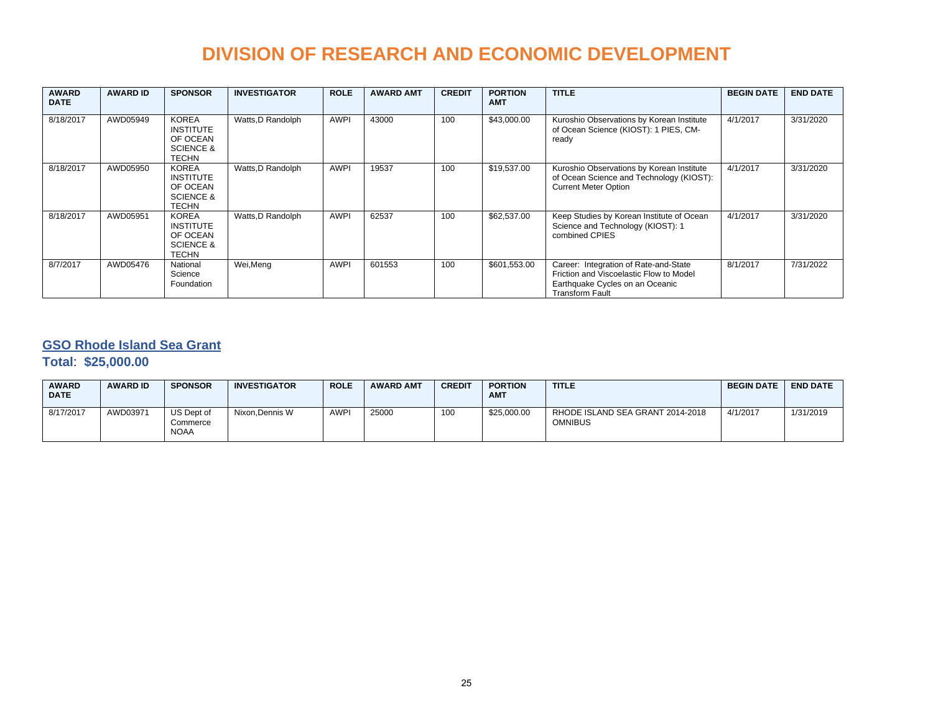| <b>AWARD</b><br><b>DATE</b> | <b>AWARD ID</b> | <b>SPONSOR</b>                                                                | <b>INVESTIGATOR</b> | <b>ROLE</b> | <b>AWARD AMT</b> | <b>CREDIT</b> | <b>PORTION</b><br><b>AMT</b> | <b>TITLE</b>                                                                                                                                  | <b>BEGIN DATE</b> | <b>END DATE</b> |
|-----------------------------|-----------------|-------------------------------------------------------------------------------|---------------------|-------------|------------------|---------------|------------------------------|-----------------------------------------------------------------------------------------------------------------------------------------------|-------------------|-----------------|
| 8/18/2017                   | AWD05949        | <b>KOREA</b><br><b>INSTITUTE</b><br>OF OCEAN<br><b>SCIENCE &amp;</b><br>TECHN | Watts, D Randolph   | <b>AWPI</b> | 43000            | 100           | \$43,000.00                  | Kuroshio Observations by Korean Institute<br>of Ocean Science (KIOST): 1 PIES, CM-<br>ready                                                   | 4/1/2017          | 3/31/2020       |
| 8/18/2017                   | AWD05950        | <b>KOREA</b><br><b>INSTITUTE</b><br>OF OCEAN<br><b>SCIENCE &amp;</b><br>TECHN | Watts, D Randolph   | <b>AWPI</b> | 19537            | 100           | \$19,537.00                  | Kuroshio Observations by Korean Institute<br>of Ocean Science and Technology (KIOST):<br><b>Current Meter Option</b>                          | 4/1/2017          | 3/31/2020       |
| 8/18/2017                   | AWD05951        | <b>KOREA</b><br><b>INSTITUTE</b><br>OF OCEAN<br><b>SCIENCE &amp;</b><br>TECHN | Watts, D Randolph   | <b>AWPI</b> | 62537            | 100           | \$62,537.00                  | Keep Studies by Korean Institute of Ocean<br>Science and Technology (KIOST): 1<br>combined CPIES                                              | 4/1/2017          | 3/31/2020       |
| 8/7/2017                    | AWD05476        | National<br>Science<br>Foundation                                             | Wei, Meng           | <b>AWPI</b> | 601553           | 100           | \$601,553.00                 | Career: Integration of Rate-and-State<br>Friction and Viscoelastic Flow to Model<br>Earthquake Cycles on an Oceanic<br><b>Transform Fault</b> | 8/1/2017          | 7/31/2022       |

### **GSO Rhode Island Sea Grant**

#### **Total**: **\$25,000.00**

| <b>AWARD</b><br><b>DATE</b> | <b>AWARD ID</b> | <b>SPONSOR</b>                        | <b>INVESTIGATOR</b> | <b>ROLE</b> | <b>AWARD AMT</b> | <b>CREDIT</b> | <b>PORTION</b><br><b>AMT</b> | <b>TITLE</b>                                       | <b>BEGIN DATE</b> | <b>END DATE</b> |
|-----------------------------|-----------------|---------------------------------------|---------------------|-------------|------------------|---------------|------------------------------|----------------------------------------------------|-------------------|-----------------|
| 8/17/2017                   | AWD03971        | US Dept of<br>Commerce<br><b>NOAA</b> | Nixon.Dennis W      | <b>AWPI</b> | 25000            | 100           | \$25,000.00                  | RHODE ISLAND SEA GRANT 2014-2018<br><b>OMNIBUS</b> | 4/1/2017          | 1/31/2019       |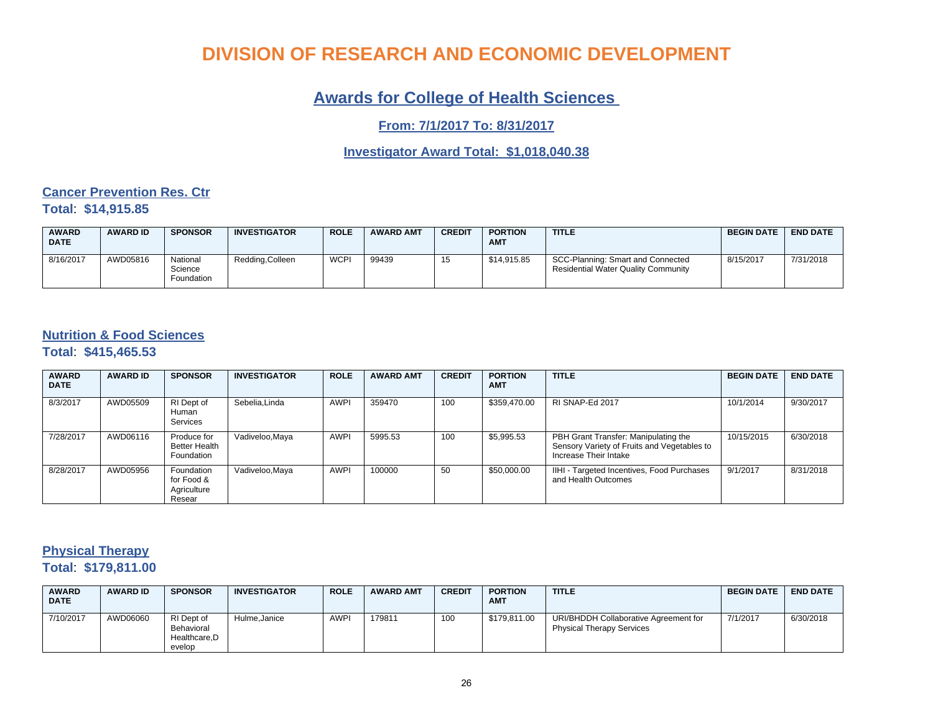### **Awards for College of Health Sciences**

**From: 7/1/2017 To: 8/31/2017**

### **Investigator Award Total: \$1,018,040.38**

#### **Cancer Prevention Res. Ctr Total**: **\$14,915.85**

| <b>AWARD</b><br><b>DATE</b> | <b>AWARD ID</b> | <b>SPONSOR</b>                    | <b>INVESTIGATOR</b> | <b>ROLE</b> | <b>AWARD AMT</b> | <b>CREDIT</b> | <b>PORTION</b><br><b>AMT</b> | <b>TITLE</b>                                                                    | <b>BEGIN DATE</b> | <b>END DATE</b> |
|-----------------------------|-----------------|-----------------------------------|---------------------|-------------|------------------|---------------|------------------------------|---------------------------------------------------------------------------------|-------------------|-----------------|
| 8/16/2017                   | AWD05816        | National<br>Science<br>Foundation | Redding, Colleen    | <b>WCPI</b> | 99439            | 15            | \$14,915.85                  | SCC-Planning: Smart and Connected<br><b>Residential Water Quality Community</b> | 8/15/2017         | 7/31/2018       |

#### **Nutrition & Food Sciences**

**Total**: **\$415,465.53**

| <b>AWARD</b><br><b>DATE</b> | <b>AWARD ID</b> | <b>SPONSOR</b>                                    | <b>INVESTIGATOR</b> | <b>ROLE</b> | <b>AWARD AMT</b> | <b>CREDIT</b> | <b>PORTION</b><br><b>AMT</b> | <b>TITLE</b>                                                                                                 | <b>BEGIN DATE</b> | <b>END DATE</b> |
|-----------------------------|-----------------|---------------------------------------------------|---------------------|-------------|------------------|---------------|------------------------------|--------------------------------------------------------------------------------------------------------------|-------------------|-----------------|
| 8/3/2017                    | AWD05509        | RI Dept of<br>Human<br>Services                   | Sebelia.Linda       | <b>AWPI</b> | 359470           | 100           | \$359,470.00                 | RI SNAP-Ed 2017                                                                                              | 10/1/2014         | 9/30/2017       |
| 7/28/2017                   | AWD06116        | Produce for<br><b>Better Health</b><br>Foundation | Vadiveloo, Maya     | <b>AWPI</b> | 5995.53          | 100           | \$5,995.53                   | PBH Grant Transfer: Manipulating the<br>Sensory Variety of Fruits and Vegetables to<br>Increase Their Intake | 10/15/2015        | 6/30/2018       |
| 8/28/2017                   | AWD05956        | Foundation<br>for Food &<br>Agriculture<br>Resear | Vadiveloo, Maya     | <b>AWPI</b> | 100000           | 50            | \$50,000.00                  | IIHI - Targeted Incentives, Food Purchases<br>and Health Outcomes                                            | 9/1/2017          | 8/31/2018       |

### **Physical Therapy Total**: **\$179,811.00**

| <b>AWARD</b><br><b>DATE</b> | <b>AWARD ID</b> | <b>SPONSOR</b>                                     | <b>INVESTIGATOR</b> | <b>ROLE</b> | <b>AWARD AMT</b> | <b>CREDIT</b> | <b>PORTION</b><br><b>AMT</b> | <b>TITLE</b>                                                              | <b>BEGIN DATE</b> | <b>END DATE</b> |
|-----------------------------|-----------------|----------------------------------------------------|---------------------|-------------|------------------|---------------|------------------------------|---------------------------------------------------------------------------|-------------------|-----------------|
| 7/10/2017                   | AWD06060        | RI Dept of<br>Behavioral<br>Healthcare.D<br>evelop | Hulme.Janice        | <b>AWPI</b> | 179811           | 100           | \$179.811.00                 | URI/BHDDH Collaborative Agreement for<br><b>Physical Therapy Services</b> | 7/1/2017          | 6/30/2018       |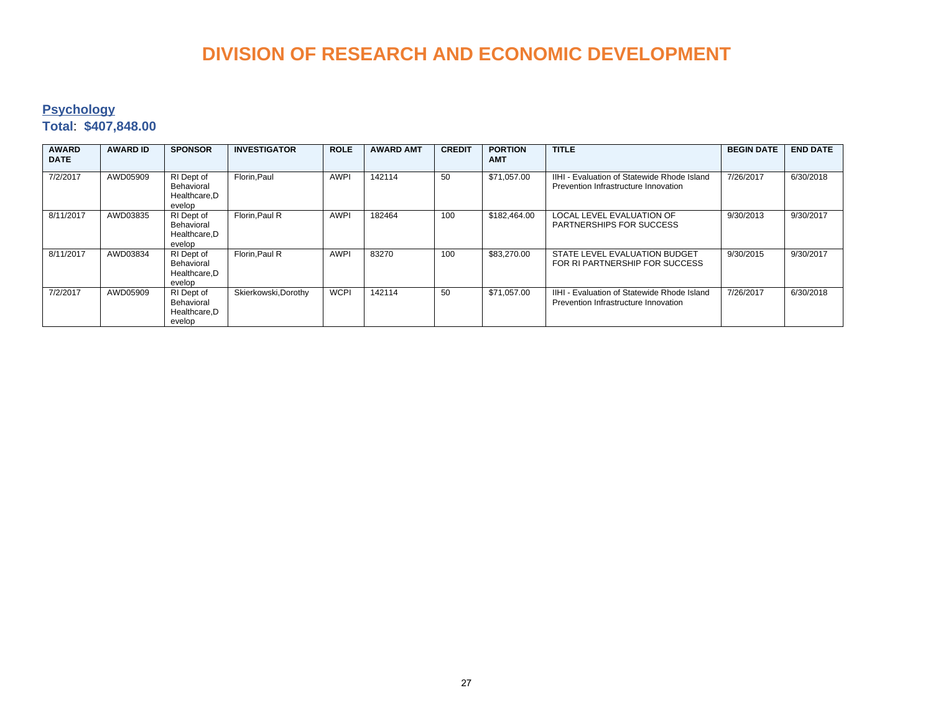### **Psychology**

### **Total**: **\$407,848.00**

| <b>AWARD</b><br><b>DATE</b> | <b>AWARD ID</b> | <b>SPONSOR</b>                                      | <b>INVESTIGATOR</b>  | <b>ROLE</b> | <b>AWARD AMT</b> | <b>CREDIT</b> | <b>PORTION</b><br><b>AMT</b> | <b>TITLE</b>                                                                        | <b>BEGIN DATE</b> | <b>END DATE</b> |
|-----------------------------|-----------------|-----------------------------------------------------|----------------------|-------------|------------------|---------------|------------------------------|-------------------------------------------------------------------------------------|-------------------|-----------------|
| 7/2/2017                    | AWD05909        | RI Dept of<br>Behavioral<br>Healthcare.D<br>evelop  | Florin.Paul          | <b>AWPI</b> | 142114           | 50            | \$71.057.00                  | IIHI - Evaluation of Statewide Rhode Island<br>Prevention Infrastructure Innovation | 7/26/2017         | 6/30/2018       |
| 8/11/2017                   | AWD03835        | RI Dept of<br>Behavioral<br>Healthcare, D<br>evelop | Florin.Paul R        | <b>AWPI</b> | 182464           | 100           | \$182,464.00                 | <b>LOCAL LEVEL EVALUATION OF</b><br><b>PARTNERSHIPS FOR SUCCESS</b>                 | 9/30/2013         | 9/30/2017       |
| 8/11/2017                   | AWD03834        | RI Dept of<br>Behavioral<br>Healthcare, D<br>evelop | Florin.Paul R        | <b>AWPI</b> | 83270            | 100           | \$83,270.00                  | STATE LEVEL EVALUATION BUDGET<br>FOR RI PARTNERSHIP FOR SUCCESS                     | 9/30/2015         | 9/30/2017       |
| 7/2/2017                    | AWD05909        | RI Dept of<br>Behavioral<br>Healthcare, D<br>evelop | Skierkowski, Dorothy | <b>WCPI</b> | 142114           | 50            | \$71,057.00                  | IIHI - Evaluation of Statewide Rhode Island<br>Prevention Infrastructure Innovation | 7/26/2017         | 6/30/2018       |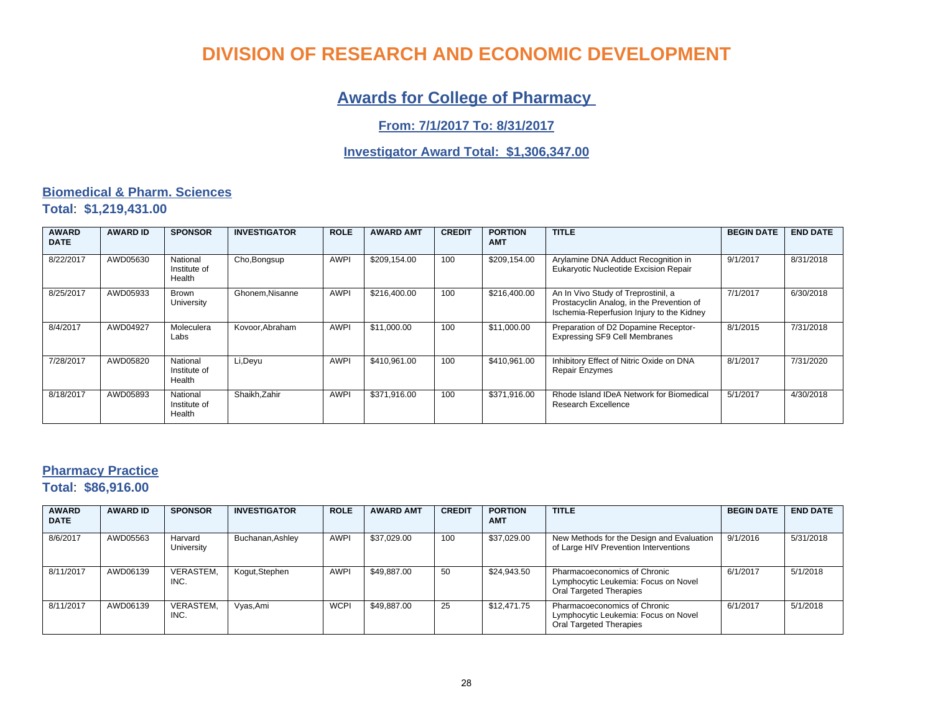## **Awards for College of Pharmacy**

### **From: 7/1/2017 To: 8/31/2017**

### **Investigator Award Total: \$1,306,347.00**

### **Biomedical & Pharm. Sciences Total**: **\$1,219,431.00**

| <b>AWARD</b><br><b>DATE</b> | <b>AWARD ID</b> | <b>SPONSOR</b>                     | <b>INVESTIGATOR</b> | <b>ROLE</b> | <b>AWARD AMT</b> | <b>CREDIT</b> | <b>PORTION</b><br><b>AMT</b> | <b>TITLE</b>                                                                                                                  | <b>BEGIN DATE</b> | <b>END DATE</b> |
|-----------------------------|-----------------|------------------------------------|---------------------|-------------|------------------|---------------|------------------------------|-------------------------------------------------------------------------------------------------------------------------------|-------------------|-----------------|
| 8/22/2017                   | AWD05630        | National<br>Institute of<br>Health | Cho, Bongsup        | <b>AWPI</b> | \$209,154.00     | 100           | \$209,154.00                 | Arylamine DNA Adduct Recognition in<br>Eukaryotic Nucleotide Excision Repair                                                  | 9/1/2017          | 8/31/2018       |
| 8/25/2017                   | AWD05933        | <b>Brown</b><br>University         | Ghonem, Nisanne     | <b>AWPI</b> | \$216,400.00     | 100           | \$216,400.00                 | An In Vivo Study of Treprostinil, a<br>Prostacyclin Analog, in the Prevention of<br>Ischemia-Reperfusion Injury to the Kidney | 7/1/2017          | 6/30/2018       |
| 8/4/2017                    | AWD04927        | Moleculera<br>Labs                 | Kovoor.Abraham      | <b>AWPI</b> | \$11.000.00      | 100           | \$11.000.00                  | Preparation of D2 Dopamine Receptor-<br><b>Expressing SF9 Cell Membranes</b>                                                  | 8/1/2015          | 7/31/2018       |
| 7/28/2017                   | AWD05820        | National<br>Institute of<br>Health | Li, Deyu            | <b>AWPI</b> | \$410.961.00     | 100           | \$410.961.00                 | Inhibitory Effect of Nitric Oxide on DNA<br><b>Repair Enzymes</b>                                                             | 8/1/2017          | 7/31/2020       |
| 8/18/2017                   | AWD05893        | National<br>Institute of<br>Health | Shaikh, Zahir       | <b>AWPI</b> | \$371,916.00     | 100           | \$371,916.00                 | Rhode Island IDeA Network for Biomedical<br>Research Excellence                                                               | 5/1/2017          | 4/30/2018       |

### **Pharmacy Practice Total**: **\$86,916.00**

| <b>AWARD</b><br><b>DATE</b> | <b>AWARD ID</b> | <b>SPONSOR</b>           | <b>INVESTIGATOR</b> | <b>ROLE</b> | <b>AWARD AMT</b> | <b>CREDIT</b> | <b>PORTION</b><br><b>AMT</b> | <b>TITLE</b>                                                                                           | <b>BEGIN DATE</b> | <b>END DATE</b> |
|-----------------------------|-----------------|--------------------------|---------------------|-------------|------------------|---------------|------------------------------|--------------------------------------------------------------------------------------------------------|-------------------|-----------------|
| 8/6/2017                    | AWD05563        | Harvard<br>University    | Buchanan, Ashley    | AWPI        | \$37,029.00      | 100           | \$37,029.00                  | New Methods for the Design and Evaluation<br>of Large HIV Prevention Interventions                     | 9/1/2016          | 5/31/2018       |
| 8/11/2017                   | AWD06139        | <b>VERASTEM.</b><br>INC. | Kogut, Stephen      | <b>AWPI</b> | \$49,887.00      | 50            | \$24,943.50                  | Pharmacoeconomics of Chronic<br>Lymphocytic Leukemia: Focus on Novel<br><b>Oral Targeted Therapies</b> | 6/1/2017          | 5/1/2018        |
| 8/11/2017                   | AWD06139        | <b>VERASTEM.</b><br>INC. | Vyas, Ami           | <b>WCPI</b> | \$49,887.00      | 25            | \$12,471.75                  | Pharmacoeconomics of Chronic<br>Lymphocytic Leukemia: Focus on Novel<br>Oral Targeted Therapies        | 6/1/2017          | 5/1/2018        |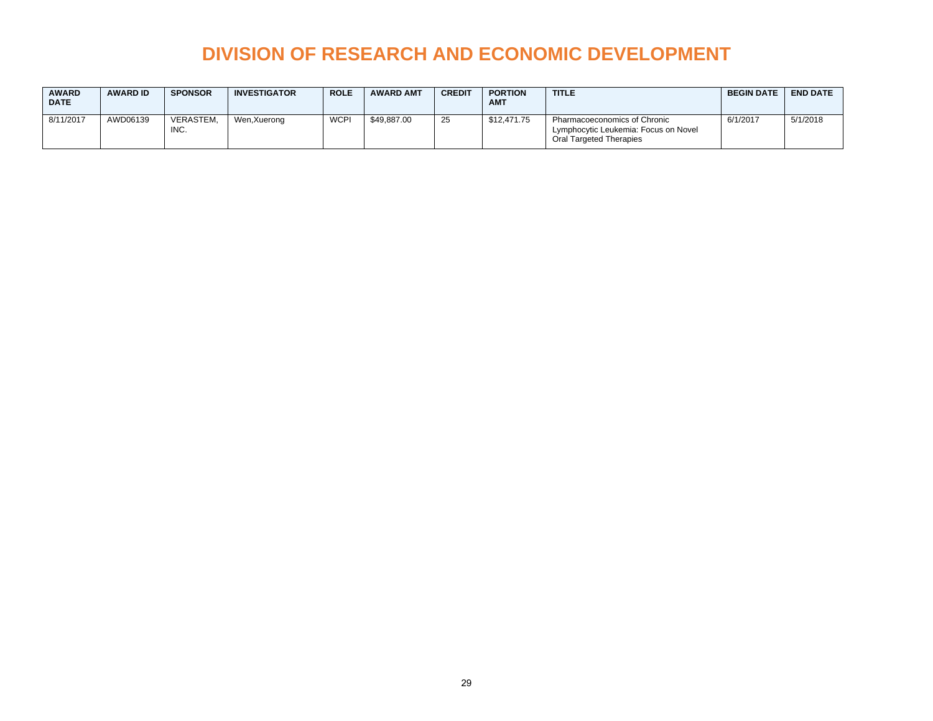| <b>AWARD</b><br><b>DATE</b> | <b>AWARD ID</b> | <b>SPONSOR</b>    | <b>INVESTIGATOR</b> | <b>ROLE</b> | <b>AWARD AMT</b> | <b>CREDIT</b> | <b>PORTION</b><br><b>AMT</b> | <b>TITLE</b>                                                                                    | <b>BEGIN DATE</b> | <b>END DATE</b> |
|-----------------------------|-----------------|-------------------|---------------------|-------------|------------------|---------------|------------------------------|-------------------------------------------------------------------------------------------------|-------------------|-----------------|
| 8/11/2017                   | AWD06139        | VERASTEM.<br>INC. | Wen, Xuerong        | <b>WCPI</b> | \$49.887.00      | 25            | \$12.471.75                  | Pharmacoeconomics of Chronic<br>Lymphocytic Leukemia: Focus on Novel<br>Oral Targeted Therapies | 6/1/2017          | 5/1/2018        |